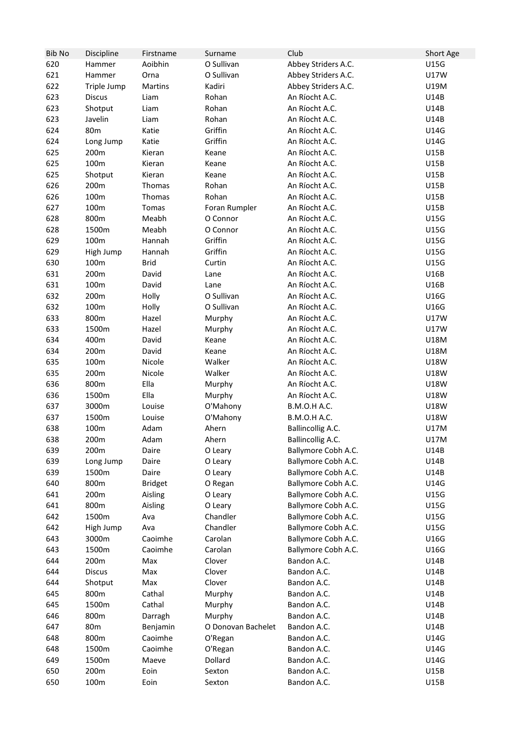| <b>Bib No</b> | Discipline      | Firstname      | Surname            | Club                     | Short Age   |
|---------------|-----------------|----------------|--------------------|--------------------------|-------------|
| 620           | Hammer          | Aoibhin        | O Sullivan         | Abbey Striders A.C.      | U15G        |
| 621           | Hammer          | Orna           | O Sullivan         | Abbey Striders A.C.      | <b>U17W</b> |
| 622           | Triple Jump     | Martins        | Kadiri             | Abbey Striders A.C.      | U19M        |
| 623           | <b>Discus</b>   | Liam           | Rohan              | An Ríocht A.C.           | U14B        |
| 623           | Shotput         | Liam           | Rohan              | An Ríocht A.C.           | U14B        |
| 623           | Javelin         | Liam           | Rohan              | An Ríocht A.C.           | U14B        |
| 624           | 80 <sub>m</sub> | Katie          | Griffin            | An Ríocht A.C.           | U14G        |
| 624           | Long Jump       | Katie          | Griffin            | An Ríocht A.C.           | U14G        |
| 625           | 200m            | Kieran         | Keane              | An Ríocht A.C.           | U15B        |
| 625           | 100m            | Kieran         | Keane              | An Ríocht A.C.           | U15B        |
| 625           | Shotput         | Kieran         | Keane              | An Ríocht A.C.           | U15B        |
| 626           | 200m            | Thomas         | Rohan              | An Ríocht A.C.           | U15B        |
| 626           | 100m            | Thomas         | Rohan              | An Ríocht A.C.           | U15B        |
| 627           | 100m            | Tomas          | Foran Rumpler      | An Ríocht A.C.           | U15B        |
| 628           | 800m            | Meabh          | O Connor           | An Ríocht A.C.           | U15G        |
| 628           | 1500m           | Meabh          | O Connor           | An Ríocht A.C.           | U15G        |
| 629           | 100m            | Hannah         | Griffin            | An Ríocht A.C.           | U15G        |
| 629           | High Jump       | Hannah         | Griffin            | An Ríocht A.C.           | U15G        |
| 630           | 100m            | <b>Brid</b>    | Curtin             | An Ríocht A.C.           | U15G        |
| 631           | 200m            | David          | Lane               | An Ríocht A.C.           | U16B        |
| 631           | 100m            | David          | Lane               | An Ríocht A.C.           | U16B        |
| 632           | 200m            | Holly          | O Sullivan         | An Ríocht A.C.           | U16G        |
| 632           | 100m            | Holly          | O Sullivan         | An Ríocht A.C.           | U16G        |
| 633           | 800m            | Hazel          | Murphy             | An Ríocht A.C.           | U17W        |
| 633           | 1500m           | Hazel          | Murphy             | An Ríocht A.C.           | U17W        |
| 634           | 400m            | David          | Keane              | An Ríocht A.C.           | <b>U18M</b> |
| 634           | 200m            | David          | Keane              | An Ríocht A.C.           | <b>U18M</b> |
| 635           | 100m            | Nicole         | Walker             | An Ríocht A.C.           | <b>U18W</b> |
| 635           | 200m            | Nicole         | Walker             | An Ríocht A.C.           | U18W        |
| 636           | 800m            | Ella           | Murphy             | An Ríocht A.C.           | <b>U18W</b> |
| 636           | 1500m           | Ella           | Murphy             | An Ríocht A.C.           | <b>U18W</b> |
| 637           | 3000m           | Louise         | O'Mahony           | <b>B.M.O.H A.C.</b>      | <b>U18W</b> |
| 637           | 1500m           | Louise         | O'Mahony           | <b>B.M.O.H A.C.</b>      | <b>U18W</b> |
| 638           | 100m            | Adam           | Ahern              | <b>Ballincollig A.C.</b> | <b>U17M</b> |
| 638           | 200m            | Adam           | Ahern              | <b>Ballincollig A.C.</b> | U17M        |
| 639           | 200m            | Daire          | O Leary            | Ballymore Cobh A.C.      | U14B        |
| 639           | Long Jump       | Daire          | O Leary            | Ballymore Cobh A.C.      | U14B        |
| 639           | 1500m           | Daire          | O Leary            | Ballymore Cobh A.C.      | U14B        |
| 640           | 800m            | <b>Bridget</b> | O Regan            | Ballymore Cobh A.C.      | U14G        |
| 641           | 200m            | Aisling        | O Leary            | Ballymore Cobh A.C.      | U15G        |
| 641           | 800m            | Aisling        | O Leary            | Ballymore Cobh A.C.      | U15G        |
| 642           | 1500m           | Ava            | Chandler           | Ballymore Cobh A.C.      | U15G        |
| 642           | High Jump       | Ava            | Chandler           | Ballymore Cobh A.C.      | U15G        |
| 643           | 3000m           | Caoimhe        | Carolan            | Ballymore Cobh A.C.      | U16G        |
| 643           | 1500m           | Caoimhe        | Carolan            | Ballymore Cobh A.C.      | U16G        |
| 644           | 200m            | Max            | Clover             | Bandon A.C.              | U14B        |
| 644           | <b>Discus</b>   | Max            | Clover             | Bandon A.C.              | U14B        |
| 644           | Shotput         | Max            | Clover             | Bandon A.C.              | U14B        |
| 645           | 800m            | Cathal         | Murphy             | Bandon A.C.              | U14B        |
| 645           | 1500m           | Cathal         | Murphy             | Bandon A.C.              | U14B        |
| 646           | 800m            | Darragh        | Murphy             | Bandon A.C.              | U14B        |
| 647           | 80 <sub>m</sub> | Benjamin       | O Donovan Bachelet | Bandon A.C.              | U14B        |
| 648           | 800m            | Caoimhe        | O'Regan            | Bandon A.C.              | U14G        |
| 648           | 1500m           | Caoimhe        | O'Regan            | Bandon A.C.              | U14G        |
| 649           | 1500m           | Maeve          | Dollard            | Bandon A.C.              | U14G        |
| 650           | 200m            | Eoin           | Sexton             | Bandon A.C.              | <b>U15B</b> |
| 650           | 100m            | Eoin           | Sexton             | Bandon A.C.              | <b>U15B</b> |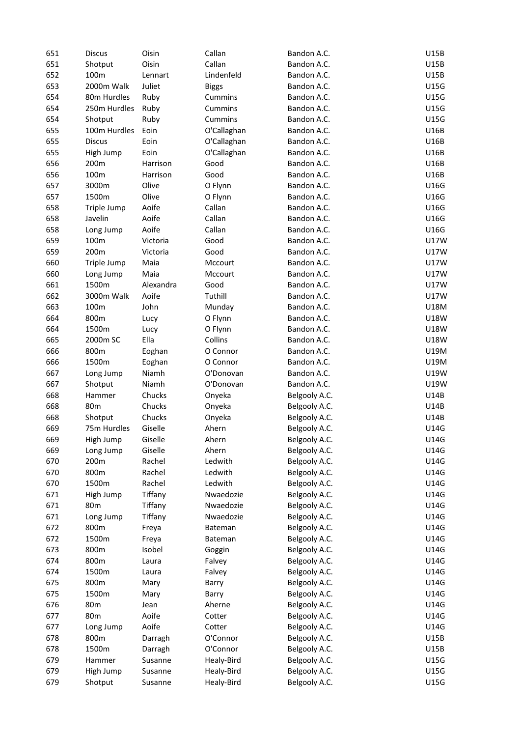| 651 | <b>Discus</b> | Oisin              | Callan       | Bandon A.C.   | U15B        |
|-----|---------------|--------------------|--------------|---------------|-------------|
| 651 | Shotput       | Oisin              | Callan       | Bandon A.C.   | U15B        |
| 652 | 100m          | Lennart            | Lindenfeld   | Bandon A.C.   | U15B        |
| 653 | 2000m Walk    | Juliet             | <b>Biggs</b> | Bandon A.C.   | U15G        |
| 654 | 80m Hurdles   | Ruby               | Cummins      | Bandon A.C.   | U15G        |
| 654 | 250m Hurdles  | Ruby               | Cummins      | Bandon A.C.   | U15G        |
| 654 | Shotput       | Ruby               | Cummins      | Bandon A.C.   | U15G        |
| 655 | 100m Hurdles  | Eoin               | O'Callaghan  | Bandon A.C.   | U16B        |
| 655 | <b>Discus</b> | Eoin               | O'Callaghan  | Bandon A.C.   | U16B        |
| 655 | High Jump     | Eoin               | O'Callaghan  | Bandon A.C.   | U16B        |
| 656 | 200m          | Harrison           | Good         | Bandon A.C.   | U16B        |
| 656 | 100m          | Harrison           | Good         | Bandon A.C.   | U16B        |
| 657 | 3000m         | Olive              | O Flynn      | Bandon A.C.   | U16G        |
| 657 | 1500m         | Olive              | O Flynn      | Bandon A.C.   | U16G        |
| 658 | Triple Jump   | Aoife              | Callan       | Bandon A.C.   | U16G        |
| 658 | Javelin       | Aoife              | Callan       | Bandon A.C.   | U16G        |
| 658 | Long Jump     | Aoife              | Callan       | Bandon A.C.   | U16G        |
| 659 | 100m          | Victoria           | Good         | Bandon A.C.   | U17W        |
| 659 | 200m          | Victoria           | Good         | Bandon A.C.   | <b>U17W</b> |
| 660 | Triple Jump   | Maia               | Mccourt      | Bandon A.C.   | <b>U17W</b> |
|     |               |                    |              |               |             |
| 660 | Long Jump     | Maia               | Mccourt      | Bandon A.C.   | U17W        |
| 661 | 1500m         | Alexandra<br>Aoife | Good         | Bandon A.C.   | U17W        |
| 662 | 3000m Walk    |                    | Tuthill      | Bandon A.C.   | U17W        |
| 663 | 100m          | John               | Munday       | Bandon A.C.   | <b>U18M</b> |
| 664 | 800m          | Lucy               | O Flynn      | Bandon A.C.   | U18W        |
| 664 | 1500m         | Lucy               | O Flynn      | Bandon A.C.   | U18W        |
| 665 | 2000m SC      | Ella               | Collins      | Bandon A.C.   | U18W        |
| 666 | 800m          | Eoghan             | O Connor     | Bandon A.C.   | U19M        |
| 666 | 1500m         | Eoghan             | O Connor     | Bandon A.C.   | U19M        |
| 667 | Long Jump     | Niamh              | O'Donovan    | Bandon A.C.   | U19W        |
| 667 | Shotput       | Niamh              | O'Donovan    | Bandon A.C.   | U19W        |
| 668 | Hammer        | Chucks             | Onyeka       | Belgooly A.C. | U14B        |
| 668 | 80m           | Chucks             | Onyeka       | Belgooly A.C. | U14B        |
| 668 | Shotput       | Chucks             | Onyeka       | Belgooly A.C. | U14B        |
| 669 | 75m Hurdles   | Giselle            | Ahern        | Belgooly A.C. | U14G        |
| 669 | High Jump     | Giselle            | Ahern        | Belgooly A.C. | U14G        |
| 669 | Long Jump     | Giselle            | Ahern        | Belgooly A.C. | U14G        |
| 670 | 200m          | Rachel             | Ledwith      | Belgooly A.C. | U14G        |
| 670 | 800m          | Rachel             | Ledwith      | Belgooly A.C. | U14G        |
| 670 | 1500m         | Rachel             | Ledwith      | Belgooly A.C. | <b>U14G</b> |
| 671 | High Jump     | Tiffany            | Nwaedozie    | Belgooly A.C. | U14G        |
| 671 | 80m           | Tiffany            | Nwaedozie    | Belgooly A.C. | U14G        |
| 671 | Long Jump     | Tiffany            | Nwaedozie    | Belgooly A.C. | U14G        |
| 672 | 800m          | Freya              | Bateman      | Belgooly A.C. | U14G        |
| 672 | 1500m         | Freya              | Bateman      | Belgooly A.C. | U14G        |
| 673 | 800m          | Isobel             | Goggin       | Belgooly A.C. | U14G        |
| 674 | 800m          | Laura              | Falvey       | Belgooly A.C. | U14G        |
| 674 | 1500m         | Laura              | Falvey       | Belgooly A.C. | U14G        |
| 675 | 800m          | Mary               | Barry        | Belgooly A.C. | U14G        |
| 675 | 1500m         | Mary               | Barry        | Belgooly A.C. | <b>U14G</b> |
| 676 | 80m           | Jean               | Aherne       | Belgooly A.C. | U14G        |
| 677 | 80m           | Aoife              | Cotter       | Belgooly A.C. | U14G        |
| 677 | Long Jump     | Aoife              | Cotter       | Belgooly A.C. | U14G        |
| 678 | 800m          |                    | O'Connor     | Belgooly A.C. | U15B        |
|     | 1500m         | Darragh            | O'Connor     |               | U15B        |
| 678 |               | Darragh            |              | Belgooly A.C. |             |
| 679 | Hammer        | Susanne            | Healy-Bird   | Belgooly A.C. | U15G        |
| 679 | High Jump     | Susanne            | Healy-Bird   | Belgooly A.C. | U15G        |
| 679 | Shotput       | Susanne            | Healy-Bird   | Belgooly A.C. | U15G        |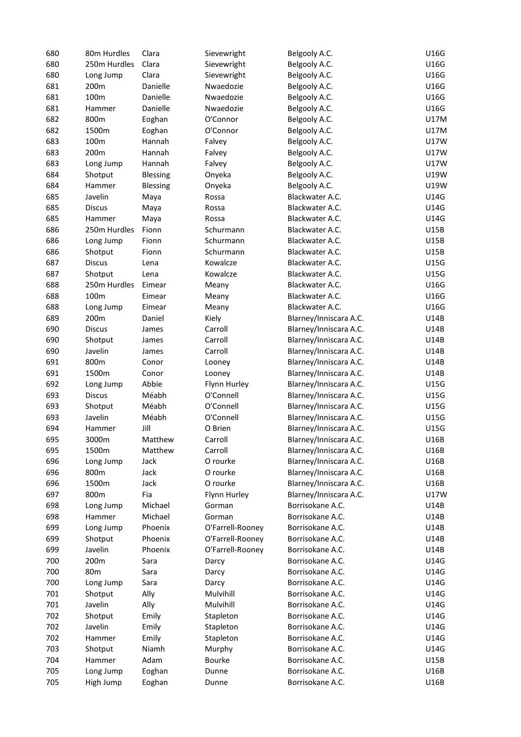| 680        | 80m Hurdles       | Clara           | Sievewright      | Belgooly A.C.                        | U16G         |
|------------|-------------------|-----------------|------------------|--------------------------------------|--------------|
| 680        | 250m Hurdles      | Clara           | Sievewright      | Belgooly A.C.                        | U16G         |
| 680        | Long Jump         | Clara           | Sievewright      | Belgooly A.C.                        | U16G         |
| 681        | 200m              | Danielle        | Nwaedozie        | Belgooly A.C.                        | U16G         |
| 681        | 100m              | Danielle        | Nwaedozie        | Belgooly A.C.                        | U16G         |
| 681        | Hammer            | Danielle        | Nwaedozie        | Belgooly A.C.                        | U16G         |
| 682        | 800m              | Eoghan          | O'Connor         | Belgooly A.C.                        | U17M         |
| 682        | 1500m             | Eoghan          | O'Connor         | Belgooly A.C.                        | U17M         |
| 683        | 100m              | Hannah          | Falvey           | Belgooly A.C.                        | U17W         |
| 683        | 200m              | Hannah          | Falvey           | Belgooly A.C.                        | U17W         |
| 683        | Long Jump         | Hannah          | Falvey           | Belgooly A.C.                        | U17W         |
| 684        | Shotput           | <b>Blessing</b> | Onyeka           | Belgooly A.C.                        | U19W         |
| 684        | Hammer            | <b>Blessing</b> | Onyeka           | Belgooly A.C.                        | U19W         |
| 685        | Javelin           | Maya            | Rossa            | Blackwater A.C.                      | U14G         |
| 685        | <b>Discus</b>     | Maya            | Rossa            | Blackwater A.C.                      | U14G         |
| 685        | Hammer            | Maya            | Rossa            | Blackwater A.C.                      | U14G         |
| 686        | 250m Hurdles      | Fionn           | Schurmann        | Blackwater A.C.                      | U15B         |
| 686        | Long Jump         | Fionn           | Schurmann        | Blackwater A.C.                      | U15B         |
| 686        | Shotput           | Fionn           | Schurmann        | Blackwater A.C.                      | U15B         |
| 687        | <b>Discus</b>     | Lena            | Kowalcze         | Blackwater A.C.                      | U15G         |
| 687        | Shotput           | Lena            | Kowalcze         | Blackwater A.C.                      | U15G         |
| 688        | 250m Hurdles      | Eimear          |                  | Blackwater A.C.                      | U16G         |
| 688        | 100m              | Eimear          | Meany            | Blackwater A.C.                      | U16G         |
|            |                   |                 | Meany            |                                      |              |
| 688        | Long Jump         | Eimear          | Meany            | Blackwater A.C.                      | U16G         |
| 689        | 200m              | Daniel          | Kiely            | Blarney/Inniscara A.C.               | U14B         |
| 690        | <b>Discus</b>     | James           | Carroll          | Blarney/Inniscara A.C.               | U14B         |
| 690        | Shotput           | James           | Carroll          | Blarney/Inniscara A.C.               | U14B         |
| 690        | Javelin           | James           | Carroll          | Blarney/Inniscara A.C.               | U14B         |
| 691        | 800m              | Conor           | Looney           | Blarney/Inniscara A.C.               | U14B         |
| 691        | 1500m             | Conor           | Looney           | Blarney/Inniscara A.C.               | U14B         |
| 692        | Long Jump         | Abbie           | Flynn Hurley     | Blarney/Inniscara A.C.               | U15G         |
| 693        | <b>Discus</b>     | Méabh           | O'Connell        | Blarney/Inniscara A.C.               | U15G         |
| 693        | Shotput           | Méabh           | O'Connell        | Blarney/Inniscara A.C.               | U15G         |
| 693        | Javelin           | Méabh           | O'Connell        | Blarney/Inniscara A.C.               | U15G         |
| 694        | Hammer            | Jill            | O Brien          | Blarney/Inniscara A.C.               | U15G         |
| 695        | 3000m             | Matthew         | Carroll          | Blarney/Inniscara A.C.               | U16B         |
| 695        | 1500m             | Matthew         | Carroll          | Blarney/Inniscara A.C.               | U16B         |
| 696        | Long Jump         | Jack            | O rourke         | Blarney/Inniscara A.C.               | U16B         |
| 696        | 800m              | Jack            | O rourke         | Blarney/Inniscara A.C.               | U16B         |
| 696        | 1500m             | Jack            | O rourke         | Blarney/Inniscara A.C.               | U16B         |
| 697        | 800m              | Fia             | Flynn Hurley     | Blarney/Inniscara A.C.               | U17W         |
| 698        | Long Jump         | Michael         | Gorman           | Borrisokane A.C.                     | U14B         |
| 698        | Hammer            | Michael         | Gorman           | Borrisokane A.C.                     | U14B         |
| 699        | Long Jump         | Phoenix         | O'Farrell-Rooney | Borrisokane A.C.                     | U14B         |
| 699        | Shotput           | Phoenix         | O'Farrell-Rooney | Borrisokane A.C.                     | U14B         |
| 699        | Javelin           | Phoenix         | O'Farrell-Rooney | Borrisokane A.C.                     | U14B         |
| 700        | 200m              | Sara            | Darcy            | Borrisokane A.C.                     | U14G         |
| 700        | 80 <sub>m</sub>   | Sara            | Darcy            | Borrisokane A.C.                     | U14G         |
| 700        | Long Jump         | Sara            | Darcy            | Borrisokane A.C.                     | U14G         |
| 701        | Shotput           | Ally            | Mulvihill        | Borrisokane A.C.                     | U14G         |
| 701        | Javelin           | Ally            | Mulvihill        | Borrisokane A.C.                     | U14G         |
| 702        | Shotput           | Emily           | Stapleton        | Borrisokane A.C.                     | U14G         |
|            |                   |                 |                  |                                      |              |
| 702<br>702 | Javelin<br>Hammer | Emily           | Stapleton        | Borrisokane A.C.<br>Borrisokane A.C. | U14G<br>U14G |
|            |                   | Emily           | Stapleton        |                                      |              |
| 703        | Shotput           | Niamh           | Murphy           | Borrisokane A.C.                     | U14G         |
| 704        | Hammer            | Adam            | Bourke           | Borrisokane A.C.                     | U15B         |
| 705        | Long Jump         | Eoghan          | Dunne            | Borrisokane A.C.                     | U16B         |
| 705        | High Jump         | Eoghan          | Dunne            | Borrisokane A.C.                     | U16B         |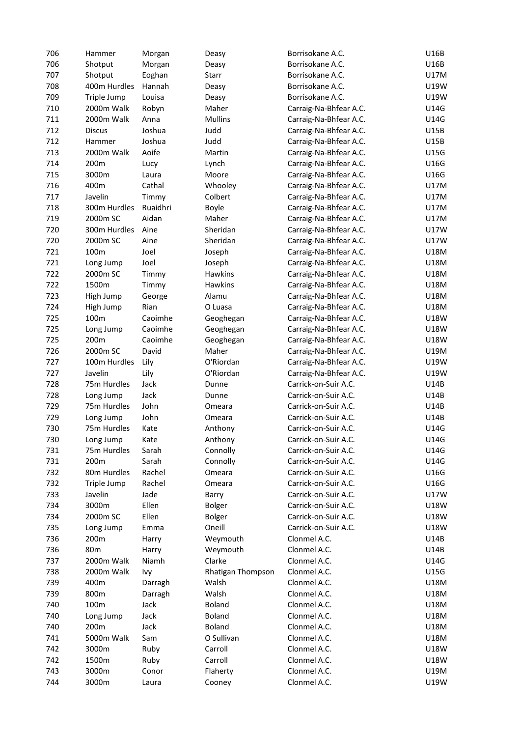| 706 | Hammer          | Morgan   | Deasy             | Borrisokane A.C.       | U16B        |
|-----|-----------------|----------|-------------------|------------------------|-------------|
| 706 | Shotput         | Morgan   | Deasy             | Borrisokane A.C.       | U16B        |
| 707 | Shotput         | Eoghan   | Starr             | Borrisokane A.C.       | <b>U17M</b> |
| 708 | 400m Hurdles    | Hannah   | Deasy             | Borrisokane A.C.       | U19W        |
| 709 | Triple Jump     | Louisa   | Deasy             | Borrisokane A.C.       | U19W        |
| 710 | 2000m Walk      | Robyn    | Maher             | Carraig-Na-Bhfear A.C. | U14G        |
| 711 | 2000m Walk      | Anna     | <b>Mullins</b>    | Carraig-Na-Bhfear A.C. | U14G        |
| 712 | <b>Discus</b>   | Joshua   | Judd              | Carraig-Na-Bhfear A.C. | U15B        |
| 712 | Hammer          | Joshua   | Judd              | Carraig-Na-Bhfear A.C. | U15B        |
| 713 | 2000m Walk      | Aoife    | Martin            | Carraig-Na-Bhfear A.C. | U15G        |
| 714 | 200m            | Lucy     | Lynch             | Carraig-Na-Bhfear A.C. | U16G        |
| 715 | 3000m           | Laura    | Moore             | Carraig-Na-Bhfear A.C. | U16G        |
|     | 400m            | Cathal   |                   |                        | <b>U17M</b> |
| 716 |                 |          | Whooley           | Carraig-Na-Bhfear A.C. |             |
| 717 | Javelin         | Timmy    | Colbert           | Carraig-Na-Bhfear A.C. | U17M        |
| 718 | 300m Hurdles    | Ruaidhri | Boyle             | Carraig-Na-Bhfear A.C. | U17M        |
| 719 | 2000m SC        | Aidan    | Maher             | Carraig-Na-Bhfear A.C. | U17M        |
| 720 | 300m Hurdles    | Aine     | Sheridan          | Carraig-Na-Bhfear A.C. | U17W        |
| 720 | 2000m SC        | Aine     | Sheridan          | Carraig-Na-Bhfear A.C. | U17W        |
| 721 | 100m            | Joel     | Joseph            | Carraig-Na-Bhfear A.C. | U18M        |
| 721 | Long Jump       | Joel     | Joseph            | Carraig-Na-Bhfear A.C. | U18M        |
| 722 | 2000m SC        | Timmy    | Hawkins           | Carraig-Na-Bhfear A.C. | U18M        |
| 722 | 1500m           | Timmy    | <b>Hawkins</b>    | Carraig-Na-Bhfear A.C. | U18M        |
| 723 | High Jump       | George   | Alamu             | Carraig-Na-Bhfear A.C. | U18M        |
| 724 | High Jump       | Rian     | O Luasa           | Carraig-Na-Bhfear A.C. | U18M        |
| 725 | 100m            | Caoimhe  | Geoghegan         | Carraig-Na-Bhfear A.C. | U18W        |
| 725 | Long Jump       | Caoimhe  | Geoghegan         | Carraig-Na-Bhfear A.C. | U18W        |
| 725 | 200m            | Caoimhe  | Geoghegan         | Carraig-Na-Bhfear A.C. | U18W        |
| 726 | 2000m SC        | David    | Maher             | Carraig-Na-Bhfear A.C. | U19M        |
| 727 | 100m Hurdles    | Lily     | O'Riordan         | Carraig-Na-Bhfear A.C. | U19W        |
| 727 | Javelin         | Lily     | O'Riordan         | Carraig-Na-Bhfear A.C. | U19W        |
| 728 | 75m Hurdles     | Jack     | Dunne             | Carrick-on-Suir A.C.   | U14B        |
| 728 | Long Jump       | Jack     | Dunne             | Carrick-on-Suir A.C.   | U14B        |
| 729 | 75m Hurdles     | John     | Omeara            | Carrick-on-Suir A.C.   | U14B        |
| 729 | Long Jump       | John     | Omeara            | Carrick-on-Suir A.C.   | U14B        |
| 730 | 75m Hurdles     | Kate     | Anthony           | Carrick-on-Suir A.C.   | U14G        |
| 730 | Long Jump       | Kate     | Anthony           | Carrick-on-Suir A.C.   | U14G        |
| 731 | 75m Hurdles     | Sarah    | Connolly          | Carrick-on-Suir A.C.   | U14G        |
| 731 | 200m            | Sarah    | Connolly          | Carrick-on-Suir A.C.   | U14G        |
| 732 | 80m Hurdles     | Rachel   | Omeara            | Carrick-on-Suir A.C.   | U16G        |
| 732 | Triple Jump     | Rachel   | Omeara            | Carrick-on-Suir A.C.   | U16G        |
| 733 | Javelin         | Jade     | Barry             | Carrick-on-Suir A.C.   | U17W        |
| 734 | 3000m           | Ellen    | <b>Bolger</b>     | Carrick-on-Suir A.C.   | U18W        |
| 734 | 2000m SC        | Ellen    | <b>Bolger</b>     | Carrick-on-Suir A.C.   | U18W        |
| 735 | Long Jump       | Emma     | Oneill            | Carrick-on-Suir A.C.   | U18W        |
| 736 | 200m            | Harry    | Weymouth          | Clonmel A.C.           | U14B        |
| 736 | 80 <sub>m</sub> | Harry    | Weymouth          | Clonmel A.C.           | U14B        |
| 737 | 2000m Walk      | Niamh    | Clarke            | Clonmel A.C.           | U14G        |
| 738 | 2000m Walk      | Ivy      | Rhatigan Thompson | Clonmel A.C.           | U15G        |
| 739 | 400m            | Darragh  | Walsh             | Clonmel A.C.           | U18M        |
| 739 | 800m            | Darragh  | Walsh             | Clonmel A.C.           | U18M        |
| 740 | 100m            | Jack     | <b>Boland</b>     | Clonmel A.C.           | U18M        |
| 740 | Long Jump       | Jack     | <b>Boland</b>     | Clonmel A.C.           | U18M        |
| 740 | 200m            | Jack     | <b>Boland</b>     | Clonmel A.C.           | U18M        |
| 741 | 5000m Walk      | Sam      | O Sullivan        | Clonmel A.C.           | U18M        |
| 742 | 3000m           | Ruby     | Carroll           | Clonmel A.C.           | U18W        |
| 742 | 1500m           | Ruby     | Carroll           | Clonmel A.C.           | U18W        |
| 743 | 3000m           | Conor    | Flaherty          | Clonmel A.C.           | U19M        |
| 744 | 3000m           | Laura    | Cooney            | Clonmel A.C.           | U19W        |
|     |                 |          |                   |                        |             |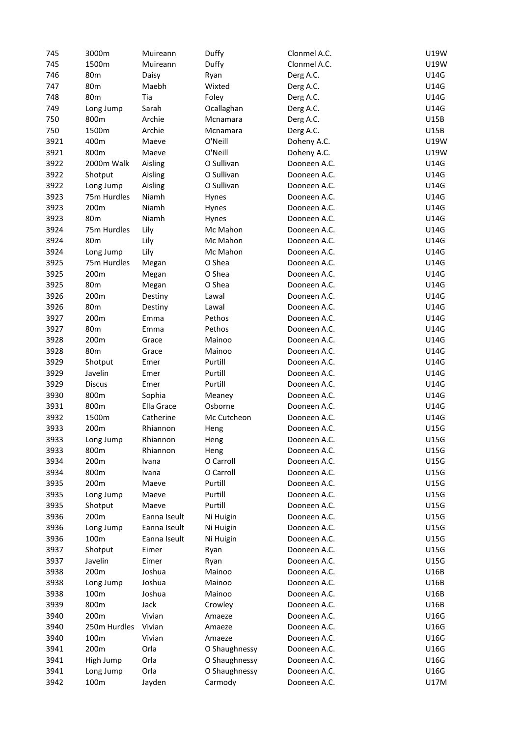| 745  | 3000m           | Muireann     | Duffy         | Clonmel A.C. | U19W        |
|------|-----------------|--------------|---------------|--------------|-------------|
| 745  | 1500m           | Muireann     | Duffy         | Clonmel A.C. | U19W        |
| 746  | 80m             | Daisy        | Ryan          | Derg A.C.    | U14G        |
| 747  | 80 <sub>m</sub> | Maebh        | Wixted        | Derg A.C.    | U14G        |
| 748  | 80 <sub>m</sub> | Tia          | Foley         | Derg A.C.    | U14G        |
| 749  | Long Jump       | Sarah        | Ocallaghan    | Derg A.C.    | U14G        |
| 750  | 800m            | Archie       | Mcnamara      | Derg A.C.    | U15B        |
| 750  | 1500m           | Archie       | Mcnamara      | Derg A.C.    | U15B        |
| 3921 | 400m            | Maeve        | O'Neill       | Doheny A.C.  | U19W        |
| 3921 | 800m            | Maeve        | O'Neill       | Doheny A.C.  | U19W        |
|      |                 |              |               |              |             |
| 3922 | 2000m Walk      | Aisling      | O Sullivan    | Dooneen A.C. | U14G        |
| 3922 | Shotput         | Aisling      | O Sullivan    | Dooneen A.C. | U14G        |
| 3922 | Long Jump       | Aisling      | O Sullivan    | Dooneen A.C. | U14G        |
| 3923 | 75m Hurdles     | Niamh        | Hynes         | Dooneen A.C. | U14G        |
| 3923 | 200m            | Niamh        | Hynes         | Dooneen A.C. | U14G        |
| 3923 | 80 <sub>m</sub> | Niamh        | Hynes         | Dooneen A.C. | U14G        |
| 3924 | 75m Hurdles     | Lily         | Mc Mahon      | Dooneen A.C. | U14G        |
| 3924 | 80 <sub>m</sub> | Lily         | Mc Mahon      | Dooneen A.C. | U14G        |
| 3924 | Long Jump       | Lily         | Mc Mahon      | Dooneen A.C. | U14G        |
| 3925 | 75m Hurdles     | Megan        | O Shea        | Dooneen A.C. | U14G        |
| 3925 | 200m            | Megan        | O Shea        | Dooneen A.C. | U14G        |
| 3925 | 80m             | Megan        | O Shea        | Dooneen A.C. | U14G        |
| 3926 | 200m            | Destiny      | Lawal         | Dooneen A.C. | U14G        |
| 3926 | 80m             | Destiny      | Lawal         | Dooneen A.C. | U14G        |
| 3927 | 200m            | Emma         | Pethos        | Dooneen A.C. | U14G        |
| 3927 | 80 <sub>m</sub> | Emma         | Pethos        | Dooneen A.C. | U14G        |
| 3928 | 200m            | Grace        | Mainoo        | Dooneen A.C. | U14G        |
| 3928 | 80 <sub>m</sub> | Grace        | Mainoo        | Dooneen A.C. | U14G        |
| 3929 | Shotput         | Emer         | Purtill       | Dooneen A.C. | U14G        |
| 3929 | Javelin         | Emer         | Purtill       | Dooneen A.C. | U14G        |
|      |                 |              |               |              |             |
| 3929 | <b>Discus</b>   | Emer         | Purtill       | Dooneen A.C. | U14G        |
| 3930 | 800m            | Sophia       | Meaney        | Dooneen A.C. | U14G        |
| 3931 | 800m            | Ella Grace   | Osborne       | Dooneen A.C. | U14G        |
| 3932 | 1500m           | Catherine    | Mc Cutcheon   | Dooneen A.C. | U14G        |
| 3933 | 200m            | Rhiannon     | Heng          | Dooneen A.C. | U15G        |
| 3933 | Long Jump       | Rhiannon     | Heng          | Dooneen A.C. | U15G        |
| 3933 | 800m            | Rhiannon     | Heng          | Dooneen A.C. | U15G        |
| 3934 | 200m            | Ivana        | O Carroll     | Dooneen A.C. | U15G        |
| 3934 | 800m            | Ivana        | O Carroll     | Dooneen A.C. | U15G        |
| 3935 | 200m            | Maeve        | Purtill       | Dooneen A.C. | U15G        |
| 3935 | Long Jump       | Maeve        | Purtill       | Dooneen A.C. | U15G        |
| 3935 | Shotput         | Maeve        | Purtill       | Dooneen A.C. | U15G        |
| 3936 | 200m            | Eanna Iseult | Ni Huigin     | Dooneen A.C. | U15G        |
| 3936 | Long Jump       | Eanna Iseult | Ni Huigin     | Dooneen A.C. | U15G        |
| 3936 | 100m            | Eanna Iseult | Ni Huigin     | Dooneen A.C. | U15G        |
| 3937 | Shotput         | Eimer        | Ryan          | Dooneen A.C. | U15G        |
| 3937 | Javelin         | Eimer        | Ryan          | Dooneen A.C. | U15G        |
| 3938 | 200m            | Joshua       | Mainoo        | Dooneen A.C. | U16B        |
| 3938 | Long Jump       | Joshua       | Mainoo        | Dooneen A.C. | U16B        |
| 3938 | 100m            | Joshua       | Mainoo        | Dooneen A.C. | U16B        |
| 3939 | 800m            | Jack         | Crowley       | Dooneen A.C. | U16B        |
| 3940 | 200m            | Vivian       | Amaeze        | Dooneen A.C. | U16G        |
| 3940 | 250m Hurdles    | Vivian       | Amaeze        | Dooneen A.C. | U16G        |
| 3940 | 100m            | Vivian       | Amaeze        | Dooneen A.C. | U16G        |
|      |                 | Orla         | O Shaughnessy | Dooneen A.C. | U16G        |
| 3941 | 200m            | Orla         |               |              | U16G        |
| 3941 | High Jump       |              | O Shaughnessy | Dooneen A.C. |             |
| 3941 | Long Jump       | Orla         | O Shaughnessy | Dooneen A.C. | U16G        |
| 3942 | 100m            | Jayden       | Carmody       | Dooneen A.C. | <b>U17M</b> |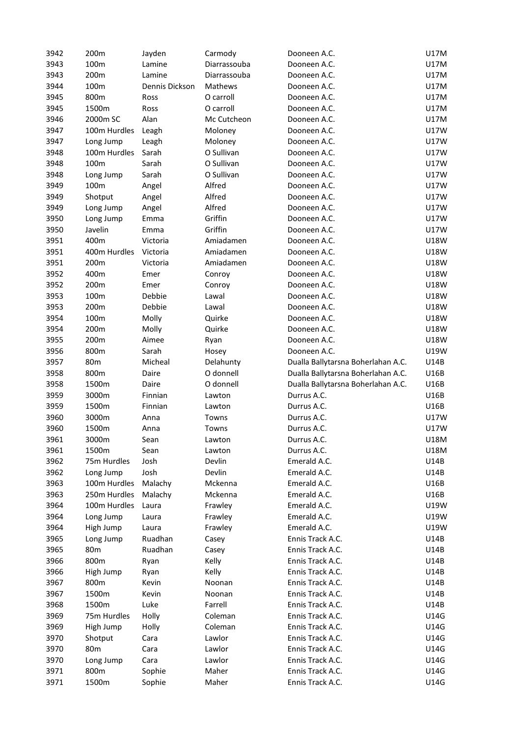| 3942 | 200m            | Jayden         | Carmody            | Dooneen A.C.                                                             | U17M        |
|------|-----------------|----------------|--------------------|--------------------------------------------------------------------------|-------------|
| 3943 | 100m            | Lamine         | Diarrassouba       | Dooneen A.C.                                                             | U17M        |
| 3943 | 200m            | Lamine         | Diarrassouba       | Dooneen A.C.                                                             | U17M        |
| 3944 | 100m            | Dennis Dickson | Mathews            | Dooneen A.C.                                                             | <b>U17M</b> |
| 3945 | 800m            | Ross           | O carroll          | Dooneen A.C.                                                             | <b>U17M</b> |
| 3945 | 1500m           | Ross           | O carroll          | Dooneen A.C.                                                             | U17M        |
| 3946 | 2000m SC        | Alan           | Mc Cutcheon        | Dooneen A.C.                                                             | U17M        |
| 3947 | 100m Hurdles    | Leagh          | Moloney            | Dooneen A.C.                                                             | U17W        |
| 3947 | Long Jump       | Leagh          | Moloney            | Dooneen A.C.                                                             | U17W        |
| 3948 | 100m Hurdles    | Sarah          | O Sullivan         | Dooneen A.C.                                                             | <b>U17W</b> |
| 3948 | 100m            | Sarah          | O Sullivan         | Dooneen A.C.                                                             | U17W        |
| 3948 | Long Jump       | Sarah          | O Sullivan         | Dooneen A.C.                                                             | U17W        |
| 3949 | 100m            | Angel          | Alfred             | Dooneen A.C.                                                             | U17W        |
| 3949 | Shotput         | Angel          | Alfred             | Dooneen A.C.                                                             | <b>U17W</b> |
| 3949 | Long Jump       | Angel          | Alfred             | Dooneen A.C.                                                             | <b>U17W</b> |
| 3950 | Long Jump       | Emma           | Griffin            | Dooneen A.C.                                                             | U17W        |
| 3950 | Javelin         | Emma           | Griffin            | Dooneen A.C.                                                             | <b>U17W</b> |
| 3951 | 400m            | Victoria       | Amiadamen          | Dooneen A.C.                                                             | U18W        |
| 3951 | 400m Hurdles    | Victoria       | Amiadamen          | Dooneen A.C.                                                             | U18W        |
| 3951 | 200m            | Victoria       | Amiadamen          | Dooneen A.C.                                                             | U18W        |
| 3952 | 400m            | Emer           | Conroy             | Dooneen A.C.                                                             | U18W        |
| 3952 | 200m            | Emer           | Conroy             | Dooneen A.C.                                                             | U18W        |
| 3953 | 100m            | Debbie         | Lawal              | Dooneen A.C.                                                             | U18W        |
| 3953 | 200m            | Debbie         | Lawal              | Dooneen A.C.                                                             | U18W        |
| 3954 | 100m            | Molly          | Quirke             | Dooneen A.C.                                                             | U18W        |
| 3954 | 200m            | Molly          | Quirke             | Dooneen A.C.                                                             | U18W        |
| 3955 | 200m            | Aimee          | Ryan               | Dooneen A.C.                                                             | <b>U18W</b> |
| 3956 | 800m            | Sarah          |                    | Dooneen A.C.                                                             | U19W        |
| 3957 | 80m             | Micheal        | Hosey<br>Delahunty |                                                                          | U14B        |
| 3958 | 800m            | Daire          | O donnell          | Dualla Ballytarsna Boherlahan A.C.<br>Dualla Ballytarsna Boherlahan A.C. | U16B        |
| 3958 | 1500m           | Daire          | O donnell          |                                                                          | U16B        |
| 3959 |                 | Finnian        |                    | Dualla Ballytarsna Boherlahan A.C.<br>Durrus A.C.                        | U16B        |
|      | 3000m           |                | Lawton             |                                                                          |             |
| 3959 | 1500m           | Finnian        | Lawton             | Durrus A.C.                                                              | U16B        |
| 3960 | 3000m           | Anna           | Towns              | Durrus A.C.                                                              | <b>U17W</b> |
| 3960 | 1500m           | Anna           | Towns              | Durrus A.C.                                                              | <b>U17W</b> |
| 3961 | 3000m           | Sean           | Lawton             | Durrus A.C.                                                              | <b>U18M</b> |
| 3961 | 1500m           | Sean           | Lawton             | Durrus A.C.                                                              | U18M        |
| 3962 | 75m Hurdles     | Josh           | Devlin             | Emerald A.C.                                                             | U14B        |
| 3962 | Long Jump       | Josh           | Devlin             | Emerald A.C.                                                             | U14B        |
| 3963 | 100m Hurdles    | Malachy        | Mckenna            | Emerald A.C.                                                             | U16B        |
| 3963 | 250m Hurdles    | Malachy        | Mckenna            | Emerald A.C.                                                             | U16B        |
| 3964 | 100m Hurdles    | Laura          | Frawley            | Emerald A.C.                                                             | U19W        |
| 3964 | Long Jump       | Laura          | Frawley            | Emerald A.C.                                                             | U19W        |
| 3964 | High Jump       | Laura          | Frawley            | Emerald A.C.                                                             | U19W        |
| 3965 | Long Jump       | Ruadhan        | Casey              | Ennis Track A.C.                                                         | U14B        |
| 3965 | 80 <sub>m</sub> | Ruadhan        | Casey              | Ennis Track A.C.                                                         | U14B        |
| 3966 | 800m            | Ryan           | Kelly              | Ennis Track A.C.                                                         | U14B        |
| 3966 | High Jump       | Ryan           | Kelly              | Ennis Track A.C.                                                         | U14B        |
| 3967 | 800m            | Kevin          | Noonan             | Ennis Track A.C.                                                         | U14B        |
| 3967 | 1500m           | Kevin          | Noonan             | Ennis Track A.C.                                                         | U14B        |
| 3968 | 1500m           | Luke           | Farrell            | Ennis Track A.C.                                                         | U14B        |
| 3969 | 75m Hurdles     | Holly          | Coleman            | Ennis Track A.C.                                                         | U14G        |
| 3969 | High Jump       | Holly          | Coleman            | Ennis Track A.C.                                                         | U14G        |
| 3970 | Shotput         | Cara           | Lawlor             | Ennis Track A.C.                                                         | U14G        |
| 3970 | 80 <sub>m</sub> | Cara           | Lawlor             | Ennis Track A.C.                                                         | U14G        |
| 3970 | Long Jump       | Cara           | Lawlor             | Ennis Track A.C.                                                         | U14G        |
| 3971 | 800m            | Sophie         | Maher              | Ennis Track A.C.                                                         | U14G        |
| 3971 | 1500m           | Sophie         | Maher              | Ennis Track A.C.                                                         | U14G        |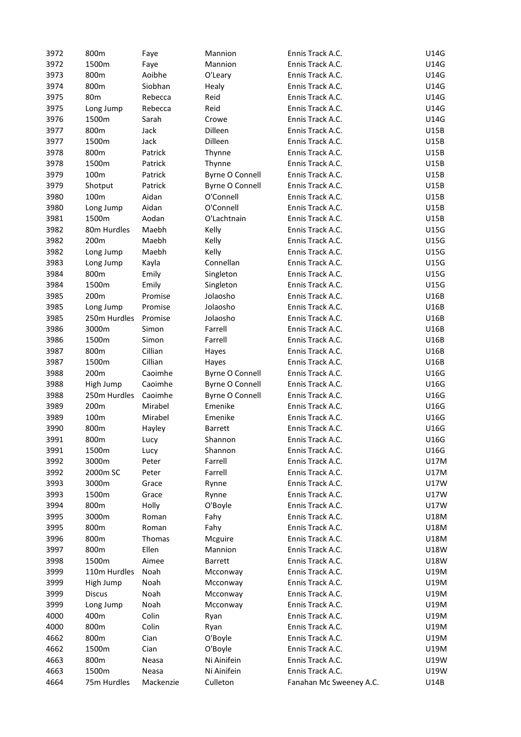| 3972 | 800m            | Faye      | Mannion                | Ennis Track A.C.        | U14G        |
|------|-----------------|-----------|------------------------|-------------------------|-------------|
| 3972 | 1500m           | Faye      | Mannion                | Ennis Track A.C.        | U14G        |
| 3973 | 800m            | Aoibhe    | O'Leary                | Ennis Track A.C.        | U14G        |
| 3974 | 800m            | Siobhan   | Healy                  | Ennis Track A.C.        | U14G        |
| 3975 | 80 <sub>m</sub> | Rebecca   | Reid                   | Ennis Track A.C.        | U14G        |
| 3975 | Long Jump       | Rebecca   | Reid                   | Ennis Track A.C.        | U14G        |
| 3976 | 1500m           | Sarah     | Crowe                  | Ennis Track A.C.        | U14G        |
| 3977 | 800m            | Jack      | Dilleen                | Ennis Track A.C.        | U15B        |
| 3977 | 1500m           | Jack      | Dilleen                | Ennis Track A.C.        | U15B        |
| 3978 | 800m            | Patrick   | Thynne                 | Ennis Track A.C.        | <b>U15B</b> |
| 3978 | 1500m           | Patrick   | Thynne                 | Ennis Track A.C.        | U15B        |
| 3979 | 100m            | Patrick   | <b>Byrne O Connell</b> | Ennis Track A.C.        | U15B        |
| 3979 | Shotput         | Patrick   | <b>Byrne O Connell</b> | Ennis Track A.C.        | U15B        |
| 3980 | 100m            | Aidan     | O'Connell              | Ennis Track A.C.        | <b>U15B</b> |
| 3980 | Long Jump       | Aidan     | O'Connell              | Ennis Track A.C.        | U15B        |
| 3981 | 1500m           | Aodan     | O'Lachtnain            | Ennis Track A.C.        | U15B        |
| 3982 | 80m Hurdles     | Maebh     | Kelly                  | Ennis Track A.C.        | U15G        |
| 3982 | 200m            | Maebh     | Kelly                  | Ennis Track A.C.        | U15G        |
| 3982 |                 | Maebh     |                        |                         |             |
|      | Long Jump       |           | Kelly                  | Ennis Track A.C.        | U15G        |
| 3983 | Long Jump       | Kayla     | Connellan              | Ennis Track A.C.        | U15G        |
| 3984 | 800m            | Emily     | Singleton              | Ennis Track A.C.        | U15G        |
| 3984 | 1500m           | Emily     | Singleton              | Ennis Track A.C.        | U15G        |
| 3985 | 200m            | Promise   | Jolaosho               | Ennis Track A.C.        | U16B        |
| 3985 | Long Jump       | Promise   | Jolaosho               | Ennis Track A.C.        | U16B        |
| 3985 | 250m Hurdles    | Promise   | Jolaosho               | Ennis Track A.C.        | U16B        |
| 3986 | 3000m           | Simon     | Farrell                | Ennis Track A.C.        | U16B        |
| 3986 | 1500m           | Simon     | Farrell                | Ennis Track A.C.        | U16B        |
| 3987 | 800m            | Cillian   | Hayes                  | Ennis Track A.C.        | U16B        |
| 3987 | 1500m           | Cillian   | Hayes                  | Ennis Track A.C.        | U16B        |
| 3988 | 200m            | Caoimhe   | <b>Byrne O Connell</b> | Ennis Track A.C.        | U16G        |
| 3988 | High Jump       | Caoimhe   | <b>Byrne O Connell</b> | Ennis Track A.C.        | U16G        |
| 3988 | 250m Hurdles    | Caoimhe   | <b>Byrne O Connell</b> | Ennis Track A.C.        | U16G        |
| 3989 | 200m            | Mirabel   | Emenike                | Ennis Track A.C.        | U16G        |
| 3989 | 100m            | Mirabel   | Emenike                | Ennis Track A.C.        | U16G        |
| 3990 | 800m            | Hayley    | <b>Barrett</b>         | Ennis Track A.C.        | U16G        |
| 3991 | 800m            | Lucy      | Shannon                | Ennis Track A.C.        | U16G        |
| 3991 | 1500m           | Lucy      | Shannon                | Ennis Track A.C.        | U16G        |
| 3992 | 3000m           | Peter     | Farrell                | Ennis Track A.C.        | <b>U17M</b> |
| 3992 | 2000m SC        | Peter     | Farrell                | Ennis Track A.C.        | U17M        |
| 3993 | 3000m           | Grace     | Rynne                  | Ennis Track A.C.        | <b>U17W</b> |
| 3993 | 1500m           | Grace     | Rynne                  | Ennis Track A.C.        | U17W        |
| 3994 | 800m            | Holly     | O'Boyle                | Ennis Track A.C.        | U17W        |
| 3995 | 3000m           | Roman     | Fahy                   | Ennis Track A.C.        | U18M        |
| 3995 | 800m            | Roman     | Fahy                   | Ennis Track A.C.        | U18M        |
| 3996 | 800m            | Thomas    | Mcguire                | Ennis Track A.C.        | U18M        |
| 3997 | 800m            | Ellen     | Mannion                | Ennis Track A.C.        | U18W        |
| 3998 | 1500m           | Aimee     | <b>Barrett</b>         | Ennis Track A.C.        | <b>U18W</b> |
|      | 110m Hurdles    | Noah      |                        |                         | U19M        |
| 3999 |                 |           | Mcconway               | Ennis Track A.C.        |             |
| 3999 | High Jump       | Noah      | Mcconway               | Ennis Track A.C.        | U19M        |
| 3999 | <b>Discus</b>   | Noah      | Mcconway               | Ennis Track A.C.        | U19M        |
| 3999 | Long Jump       | Noah      | Mcconway               | Ennis Track A.C.        | U19M        |
| 4000 | 400m            | Colin     | Ryan                   | Ennis Track A.C.        | U19M        |
| 4000 | 800m            | Colin     | Ryan                   | Ennis Track A.C.        | U19M        |
| 4662 | 800m            | Cian      | O'Boyle                | Ennis Track A.C.        | U19M        |
| 4662 | 1500m           | Cian      | O'Boyle                | Ennis Track A.C.        | U19M        |
| 4663 | 800m            | Neasa     | Ni Ainifein            | Ennis Track A.C.        | U19W        |
| 4663 | 1500m           | Neasa     | Ni Ainifein            | Ennis Track A.C.        | U19W        |
| 4664 | 75m Hurdles     | Mackenzie | Culleton               | Fanahan Mc Sweeney A.C. | U14B        |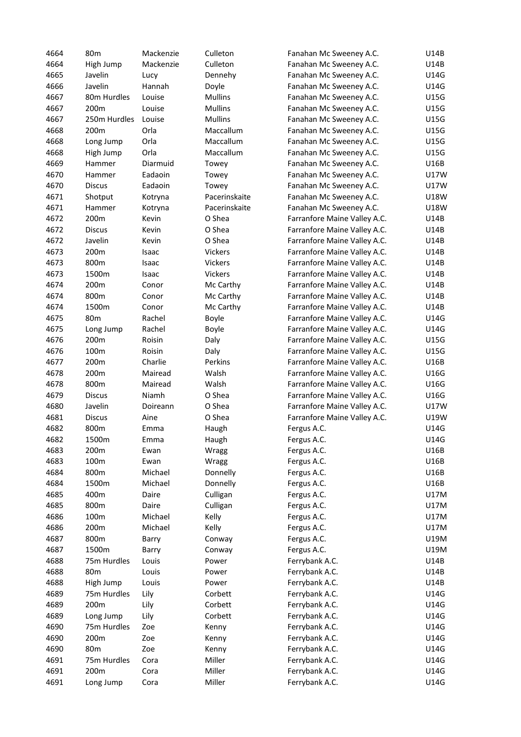| 4664 | 80 <sub>m</sub> | Mackenzie | Culleton       | Fanahan Mc Sweeney A.C.      | U14B        |
|------|-----------------|-----------|----------------|------------------------------|-------------|
| 4664 | High Jump       | Mackenzie | Culleton       | Fanahan Mc Sweeney A.C.      | U14B        |
| 4665 | Javelin         | Lucy      | Dennehy        | Fanahan Mc Sweeney A.C.      | U14G        |
| 4666 | Javelin         | Hannah    | Doyle          | Fanahan Mc Sweeney A.C.      | U14G        |
| 4667 | 80m Hurdles     | Louise    | <b>Mullins</b> | Fanahan Mc Sweeney A.C.      | U15G        |
| 4667 | 200m            | Louise    | <b>Mullins</b> | Fanahan Mc Sweeney A.C.      | U15G        |
| 4667 | 250m Hurdles    | Louise    | <b>Mullins</b> | Fanahan Mc Sweeney A.C.      | U15G        |
| 4668 | 200m            | Orla      | Maccallum      | Fanahan Mc Sweeney A.C.      | U15G        |
| 4668 | Long Jump       | Orla      | Maccallum      | Fanahan Mc Sweeney A.C.      | U15G        |
| 4668 | High Jump       | Orla      | Maccallum      | Fanahan Mc Sweeney A.C.      | U15G        |
| 4669 | Hammer          | Diarmuid  | Towey          | Fanahan Mc Sweeney A.C.      | U16B        |
| 4670 | Hammer          | Eadaoin   | Towey          | Fanahan Mc Sweeney A.C.      | U17W        |
|      |                 |           |                |                              |             |
| 4670 | <b>Discus</b>   | Eadaoin   | Towey          | Fanahan Mc Sweeney A.C.      | U17W        |
| 4671 | Shotput         | Kotryna   | Pacerinskaite  | Fanahan Mc Sweeney A.C.      | U18W        |
| 4671 | Hammer          | Kotryna   | Pacerinskaite  | Fanahan Mc Sweeney A.C.      | U18W        |
| 4672 | 200m            | Kevin     | O Shea         | Farranfore Maine Valley A.C. | U14B        |
| 4672 | <b>Discus</b>   | Kevin     | O Shea         | Farranfore Maine Valley A.C. | <b>U14B</b> |
| 4672 | Javelin         | Kevin     | O Shea         | Farranfore Maine Valley A.C. | U14B        |
| 4673 | 200m            | Isaac     | <b>Vickers</b> | Farranfore Maine Valley A.C. | U14B        |
| 4673 | 800m            | Isaac     | Vickers        | Farranfore Maine Valley A.C. | U14B        |
| 4673 | 1500m           | Isaac     | Vickers        | Farranfore Maine Valley A.C. | U14B        |
| 4674 | 200m            | Conor     | Mc Carthy      | Farranfore Maine Valley A.C. | U14B        |
| 4674 | 800m            | Conor     | Mc Carthy      | Farranfore Maine Valley A.C. | U14B        |
| 4674 | 1500m           | Conor     | Mc Carthy      | Farranfore Maine Valley A.C. | U14B        |
| 4675 | 80 <sub>m</sub> | Rachel    | Boyle          | Farranfore Maine Valley A.C. | U14G        |
| 4675 | Long Jump       | Rachel    | Boyle          | Farranfore Maine Valley A.C. | U14G        |
| 4676 | 200m            | Roisin    | Daly           | Farranfore Maine Valley A.C. | U15G        |
| 4676 | 100m            | Roisin    | Daly           | Farranfore Maine Valley A.C. | U15G        |
| 4677 | 200m            | Charlie   | Perkins        | Farranfore Maine Valley A.C. | U16B        |
| 4678 | 200m            | Mairead   | Walsh          | Farranfore Maine Valley A.C. | U16G        |
| 4678 | 800m            | Mairead   | Walsh          | Farranfore Maine Valley A.C. | U16G        |
| 4679 | <b>Discus</b>   | Niamh     | O Shea         | Farranfore Maine Valley A.C. | U16G        |
| 4680 | Javelin         | Doireann  | O Shea         | Farranfore Maine Valley A.C. | U17W        |
| 4681 | <b>Discus</b>   | Aine      | O Shea         | Farranfore Maine Valley A.C. | U19W        |
| 4682 | 800m            | Emma      | Haugh          | Fergus A.C.                  | U14G        |
| 4682 | 1500m           | Emma      | Haugh          | Fergus A.C.                  | U14G        |
| 4683 | 200m            | Ewan      | Wragg          | Fergus A.C.                  | U16B        |
| 4683 | 100m            | Ewan      | Wragg          | Fergus A.C.                  | U16B        |
| 4684 | 800m            | Michael   | Donnelly       | Fergus A.C.                  | U16B        |
| 4684 | 1500m           | Michael   | Donnelly       | Fergus A.C.                  | U16B        |
| 4685 | 400m            | Daire     | Culligan       | Fergus A.C.                  | <b>U17M</b> |
| 4685 | 800m            | Daire     | Culligan       | Fergus A.C.                  | <b>U17M</b> |
| 4686 | 100m            | Michael   | Kelly          | Fergus A.C.                  | <b>U17M</b> |
| 4686 | 200m            | Michael   | Kelly          | Fergus A.C.                  | <b>U17M</b> |
| 4687 | 800m            | Barry     | Conway         | Fergus A.C.                  | U19M        |
| 4687 | 1500m           | Barry     | Conway         | Fergus A.C.                  | U19M        |
| 4688 | 75m Hurdles     | Louis     | Power          | Ferrybank A.C.               | U14B        |
| 4688 | 80 <sub>m</sub> | Louis     | Power          | Ferrybank A.C.               | U14B        |
| 4688 | High Jump       | Louis     | Power          | Ferrybank A.C.               | U14B        |
| 4689 | 75m Hurdles     | Lily      | Corbett        | Ferrybank A.C.               | U14G        |
| 4689 | 200m            | Lily      | Corbett        | Ferrybank A.C.               | U14G        |
| 4689 | Long Jump       | Lily      | Corbett        | Ferrybank A.C.               | U14G        |
| 4690 | 75m Hurdles     | Zoe       | Kenny          | Ferrybank A.C.               | U14G        |
| 4690 | 200m            | Zoe       | Kenny          | Ferrybank A.C.               | U14G        |
| 4690 | 80 <sub>m</sub> | Zoe       | Kenny          | Ferrybank A.C.               | U14G        |
| 4691 | 75m Hurdles     | Cora      | Miller         | Ferrybank A.C.               | U14G        |
| 4691 | 200m            | Cora      | Miller         | Ferrybank A.C.               | U14G        |
| 4691 | Long Jump       | Cora      | Miller         | Ferrybank A.C.               | U14G        |
|      |                 |           |                |                              |             |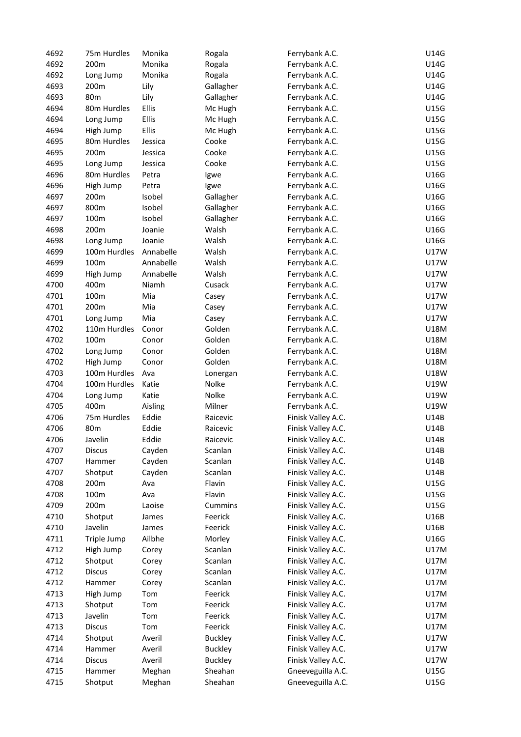| 4692 | 75m Hurdles   | Monika    | Rogala         | Ferrybank A.C.     | U14G        |
|------|---------------|-----------|----------------|--------------------|-------------|
| 4692 | 200m          | Monika    | Rogala         | Ferrybank A.C.     | U14G        |
| 4692 | Long Jump     | Monika    | Rogala         | Ferrybank A.C.     | U14G        |
| 4693 | 200m          | Lily      | Gallagher      | Ferrybank A.C.     | U14G        |
| 4693 | 80m           | Lily      | Gallagher      | Ferrybank A.C.     | U14G        |
| 4694 | 80m Hurdles   | Ellis     | Mc Hugh        | Ferrybank A.C.     | U15G        |
| 4694 | Long Jump     | Ellis     | Mc Hugh        | Ferrybank A.C.     | U15G        |
| 4694 | High Jump     | Ellis     | Mc Hugh        | Ferrybank A.C.     | U15G        |
| 4695 | 80m Hurdles   | Jessica   | Cooke          | Ferrybank A.C.     | U15G        |
| 4695 | 200m          | Jessica   | Cooke          | Ferrybank A.C.     | U15G        |
| 4695 | Long Jump     | Jessica   | Cooke          | Ferrybank A.C.     | U15G        |
| 4696 | 80m Hurdles   | Petra     | Igwe           | Ferrybank A.C.     | U16G        |
| 4696 | High Jump     | Petra     | Igwe           | Ferrybank A.C.     | U16G        |
| 4697 | 200m          | Isobel    | Gallagher      | Ferrybank A.C.     | U16G        |
| 4697 | 800m          | Isobel    | Gallagher      | Ferrybank A.C.     | U16G        |
| 4697 | 100m          | Isobel    | Gallagher      | Ferrybank A.C.     | U16G        |
| 4698 | 200m          | Joanie    | Walsh          | Ferrybank A.C.     | U16G        |
| 4698 | Long Jump     | Joanie    | Walsh          | Ferrybank A.C.     | U16G        |
| 4699 | 100m Hurdles  | Annabelle | Walsh          | Ferrybank A.C.     | <b>U17W</b> |
| 4699 | 100m          | Annabelle | Walsh          | Ferrybank A.C.     | U17W        |
| 4699 | High Jump     | Annabelle | Walsh          | Ferrybank A.C.     | U17W        |
|      |               |           |                |                    | U17W        |
| 4700 | 400m          | Niamh     | Cusack         | Ferrybank A.C.     |             |
| 4701 | 100m          | Mia       | Casey          | Ferrybank A.C.     | <b>U17W</b> |
| 4701 | 200m          | Mia       | Casey          | Ferrybank A.C.     | U17W        |
| 4701 | Long Jump     | Mia       | Casey          | Ferrybank A.C.     | U17W        |
| 4702 | 110m Hurdles  | Conor     | Golden         | Ferrybank A.C.     | U18M        |
| 4702 | 100m          | Conor     | Golden         | Ferrybank A.C.     | U18M        |
| 4702 | Long Jump     | Conor     | Golden         | Ferrybank A.C.     | U18M        |
| 4702 | High Jump     | Conor     | Golden         | Ferrybank A.C.     | U18M        |
| 4703 | 100m Hurdles  | Ava       | Lonergan       | Ferrybank A.C.     | U18W        |
| 4704 | 100m Hurdles  | Katie     | Nolke          | Ferrybank A.C.     | U19W        |
| 4704 | Long Jump     | Katie     | Nolke          | Ferrybank A.C.     | U19W        |
| 4705 | 400m          | Aisling   | Milner         | Ferrybank A.C.     | U19W        |
| 4706 | 75m Hurdles   | Eddie     | Raicevic       | Finisk Valley A.C. | U14B        |
| 4706 | 80m           | Eddie     | Raicevic       | Finisk Valley A.C. | U14B        |
| 4706 | Javelin       | Eddie     | Raicevic       | Finisk Valley A.C. | U14B        |
| 4707 | <b>Discus</b> | Cayden    | Scanlan        | Finisk Valley A.C. | U14B        |
| 4707 | Hammer        | Cayden    | Scanlan        | Finisk Valley A.C. | U14B        |
| 4707 | Shotput       | Cayden    | Scanlan        | Finisk Valley A.C. | U14B        |
| 4708 | 200m          | Ava       | Flavin         | Finisk Valley A.C. | U15G        |
| 4708 | 100m          | Ava       | Flavin         | Finisk Valley A.C. | U15G        |
| 4709 | 200m          | Laoise    | Cummins        | Finisk Valley A.C. | U15G        |
| 4710 | Shotput       | James     | Feerick        | Finisk Valley A.C. | U16B        |
| 4710 | Javelin       | James     | Feerick        | Finisk Valley A.C. | U16B        |
| 4711 | Triple Jump   | Ailbhe    | Morley         | Finisk Valley A.C. | U16G        |
| 4712 | High Jump     | Corey     | Scanlan        | Finisk Valley A.C. | U17M        |
| 4712 | Shotput       | Corey     | Scanlan        | Finisk Valley A.C. | <b>U17M</b> |
| 4712 | <b>Discus</b> | Corey     | Scanlan        | Finisk Valley A.C. | <b>U17M</b> |
| 4712 | Hammer        | Corey     | Scanlan        | Finisk Valley A.C. | <b>U17M</b> |
| 4713 | High Jump     | Tom       | Feerick        | Finisk Valley A.C. | <b>U17M</b> |
| 4713 | Shotput       | Tom       | Feerick        | Finisk Valley A.C. | U17M        |
| 4713 | Javelin       | Tom       | Feerick        | Finisk Valley A.C. | U17M        |
| 4713 | <b>Discus</b> | Tom       | Feerick        | Finisk Valley A.C. | U17M        |
| 4714 | Shotput       | Averil    | <b>Buckley</b> | Finisk Valley A.C. | U17W        |
| 4714 | Hammer        | Averil    | <b>Buckley</b> | Finisk Valley A.C. | U17W        |
|      |               |           |                |                    |             |
| 4714 | <b>Discus</b> | Averil    | <b>Buckley</b> | Finisk Valley A.C. | U17W        |
| 4715 | Hammer        | Meghan    | Sheahan        | Gneeveguilla A.C.  | U15G        |
| 4715 | Shotput       | Meghan    | Sheahan        | Gneeveguilla A.C.  | U15G        |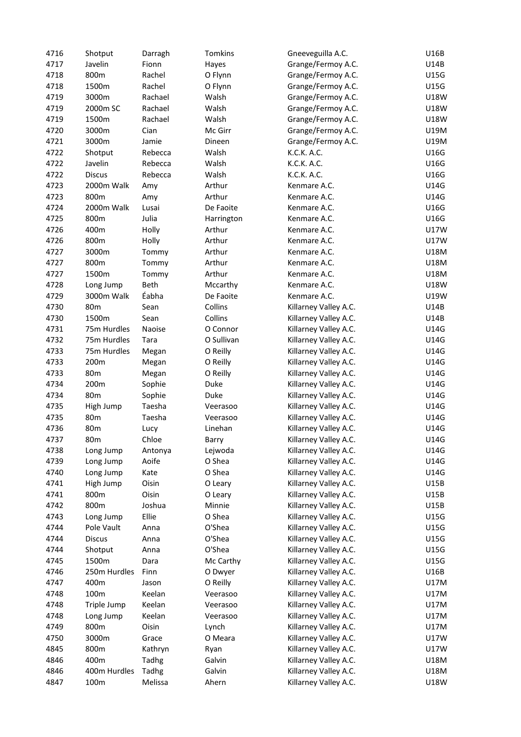| 4716 | Shotput         | Darragh | Tomkins    | Gneeveguilla A.C.     | U16B        |
|------|-----------------|---------|------------|-----------------------|-------------|
| 4717 | Javelin         | Fionn   | Hayes      | Grange/Fermoy A.C.    | U14B        |
| 4718 | 800m            | Rachel  | O Flynn    | Grange/Fermoy A.C.    | U15G        |
| 4718 | 1500m           | Rachel  | O Flynn    | Grange/Fermoy A.C.    | U15G        |
| 4719 | 3000m           | Rachael | Walsh      | Grange/Fermoy A.C.    | U18W        |
| 4719 | 2000m SC        | Rachael | Walsh      | Grange/Fermoy A.C.    | U18W        |
| 4719 | 1500m           | Rachael | Walsh      | Grange/Fermoy A.C.    | U18W        |
| 4720 | 3000m           | Cian    | Mc Girr    | Grange/Fermoy A.C.    | U19M        |
| 4721 | 3000m           | Jamie   | Dineen     | Grange/Fermoy A.C.    | U19M        |
| 4722 |                 |         | Walsh      | K.C.K. A.C.           | U16G        |
|      | Shotput         | Rebecca |            |                       |             |
| 4722 | Javelin         | Rebecca | Walsh      | K.C.K. A.C.           | U16G        |
| 4722 | <b>Discus</b>   | Rebecca | Walsh      | K.C.K. A.C.           | U16G        |
| 4723 | 2000m Walk      | Amy     | Arthur     | Kenmare A.C.          | U14G        |
| 4723 | 800m            | Amy     | Arthur     | Kenmare A.C.          | U14G        |
| 4724 | 2000m Walk      | Lusai   | De Faoite  | Kenmare A.C.          | U16G        |
| 4725 | 800m            | Julia   | Harrington | Kenmare A.C.          | U16G        |
| 4726 | 400m            | Holly   | Arthur     | Kenmare A.C.          | U17W        |
| 4726 | 800m            | Holly   | Arthur     | Kenmare A.C.          | <b>U17W</b> |
| 4727 | 3000m           | Tommy   | Arthur     | Kenmare A.C.          | U18M        |
| 4727 | 800m            | Tommy   | Arthur     | Kenmare A.C.          | U18M        |
| 4727 | 1500m           | Tommy   | Arthur     | Kenmare A.C.          | U18M        |
| 4728 | Long Jump       | Beth    | Mccarthy   | Kenmare A.C.          | U18W        |
| 4729 | 3000m Walk      | Éabha   | De Faoite  | Kenmare A.C.          | U19W        |
| 4730 | 80 <sub>m</sub> | Sean    | Collins    | Killarney Valley A.C. | U14B        |
| 4730 | 1500m           | Sean    | Collins    | Killarney Valley A.C. | U14B        |
| 4731 | 75m Hurdles     | Naoise  | O Connor   | Killarney Valley A.C. | U14G        |
| 4732 | 75m Hurdles     | Tara    | O Sullivan | Killarney Valley A.C. | U14G        |
| 4733 | 75m Hurdles     | Megan   | O Reilly   | Killarney Valley A.C. | U14G        |
| 4733 | 200m            | Megan   | O Reilly   | Killarney Valley A.C. | U14G        |
| 4733 | 80 <sub>m</sub> | Megan   | O Reilly   | Killarney Valley A.C. | U14G        |
| 4734 | 200m            | Sophie  | Duke       | Killarney Valley A.C. | U14G        |
| 4734 | 80 <sub>m</sub> | Sophie  | Duke       | Killarney Valley A.C. | U14G        |
| 4735 | High Jump       | Taesha  | Veerasoo   | Killarney Valley A.C. | U14G        |
|      |                 |         |            |                       |             |
| 4735 | 80 <sub>m</sub> | Taesha  | Veerasoo   | Killarney Valley A.C. | U14G        |
| 4736 | 80 <sub>m</sub> | Lucy    | Linehan    | Killarney Valley A.C. | U14G        |
| 4737 | 80 <sub>m</sub> | Chloe   | Barry      | Killarney Valley A.C. | U14G        |
| 4738 | Long Jump       | Antonya | Lejwoda    | Killarney Valley A.C. | U14G        |
| 4739 | Long Jump       | Aoife   | O Shea     | Killarney Valley A.C. | U14G        |
| 4740 | Long Jump       | Kate    | O Shea     | Killarney Valley A.C. | U14G        |
| 4741 | High Jump       | Oisin   | O Leary    | Killarney Valley A.C. | U15B        |
| 4741 | 800m            | Oisin   | O Leary    | Killarney Valley A.C. | U15B        |
| 4742 | 800m            | Joshua  | Minnie     | Killarney Valley A.C. | U15B        |
| 4743 | Long Jump       | Ellie   | O Shea     | Killarney Valley A.C. | U15G        |
| 4744 | Pole Vault      | Anna    | O'Shea     | Killarney Valley A.C. | U15G        |
| 4744 | <b>Discus</b>   | Anna    | O'Shea     | Killarney Valley A.C. | U15G        |
| 4744 | Shotput         | Anna    | O'Shea     | Killarney Valley A.C. | U15G        |
| 4745 | 1500m           | Dara    | Mc Carthy  | Killarney Valley A.C. | U15G        |
| 4746 | 250m Hurdles    | Finn    | O Dwyer    | Killarney Valley A.C. | U16B        |
| 4747 | 400m            | Jason   | O Reilly   | Killarney Valley A.C. | U17M        |
| 4748 | 100m            | Keelan  | Veerasoo   | Killarney Valley A.C. | U17M        |
| 4748 | Triple Jump     | Keelan  | Veerasoo   | Killarney Valley A.C. | U17M        |
| 4748 | Long Jump       | Keelan  | Veerasoo   | Killarney Valley A.C. | U17M        |
| 4749 | 800m            | Oisin   | Lynch      | Killarney Valley A.C. | U17M        |
| 4750 | 3000m           | Grace   | O Meara    | Killarney Valley A.C. | U17W        |
| 4845 | 800m            | Kathryn | Ryan       | Killarney Valley A.C. | U17W        |
| 4846 | 400m            | Tadhg   | Galvin     | Killarney Valley A.C. | U18M        |
| 4846 | 400m Hurdles    | Tadhg   | Galvin     | Killarney Valley A.C. | U18M        |
| 4847 | 100m            | Melissa | Ahern      | Killarney Valley A.C. | U18W        |
|      |                 |         |            |                       |             |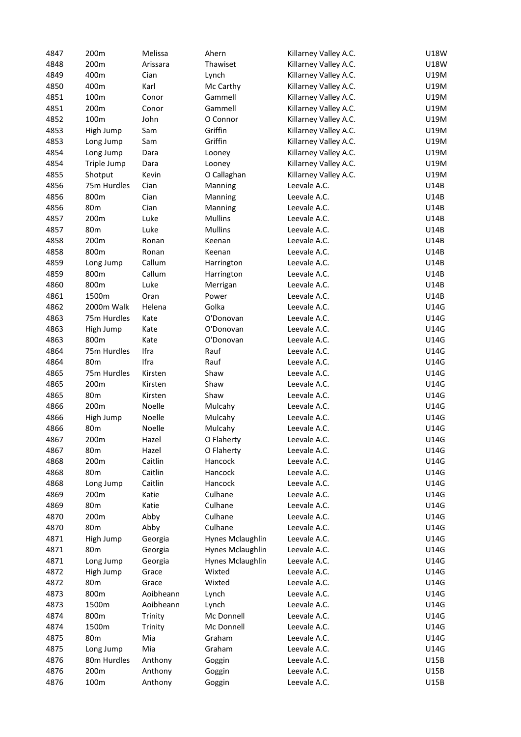| 4847 | 200m            | Melissa   | Ahern            | Killarney Valley A.C. | U18W |
|------|-----------------|-----------|------------------|-----------------------|------|
| 4848 | 200m            | Arissara  | Thawiset         | Killarney Valley A.C. | U18W |
| 4849 | 400m            | Cian      | Lynch            | Killarney Valley A.C. | U19M |
| 4850 | 400m            | Karl      | Mc Carthy        | Killarney Valley A.C. | U19M |
| 4851 | 100m            | Conor     | Gammell          | Killarney Valley A.C. | U19M |
| 4851 | 200m            | Conor     | Gammell          | Killarney Valley A.C. | U19M |
| 4852 | 100m            | John      | O Connor         | Killarney Valley A.C. | U19M |
| 4853 | High Jump       | Sam       | Griffin          | Killarney Valley A.C. | U19M |
| 4853 | Long Jump       | Sam       | Griffin          | Killarney Valley A.C. | U19M |
| 4854 |                 |           |                  |                       |      |
|      | Long Jump       | Dara      | Looney           | Killarney Valley A.C. | U19M |
| 4854 | Triple Jump     | Dara      | Looney           | Killarney Valley A.C. | U19M |
| 4855 | Shotput         | Kevin     | O Callaghan      | Killarney Valley A.C. | U19M |
| 4856 | 75m Hurdles     | Cian      | Manning          | Leevale A.C.          | U14B |
| 4856 | 800m            | Cian      | Manning          | Leevale A.C.          | U14B |
| 4856 | 80m             | Cian      | Manning          | Leevale A.C.          | U14B |
| 4857 | 200m            | Luke      | <b>Mullins</b>   | Leevale A.C.          | U14B |
| 4857 | 80 <sub>m</sub> | Luke      | <b>Mullins</b>   | Leevale A.C.          | U14B |
| 4858 | 200m            | Ronan     | Keenan           | Leevale A.C.          | U14B |
| 4858 | 800m            | Ronan     | Keenan           | Leevale A.C.          | U14B |
| 4859 | Long Jump       | Callum    | Harrington       | Leevale A.C.          | U14B |
| 4859 | 800m            | Callum    | Harrington       | Leevale A.C.          | U14B |
| 4860 | 800m            | Luke      | Merrigan         | Leevale A.C.          | U14B |
| 4861 | 1500m           | Oran      | Power            | Leevale A.C.          | U14B |
| 4862 | 2000m Walk      | Helena    | Golka            | Leevale A.C.          | U14G |
| 4863 | 75m Hurdles     | Kate      | O'Donovan        | Leevale A.C.          | U14G |
| 4863 | High Jump       | Kate      | O'Donovan        | Leevale A.C.          | U14G |
| 4863 | 800m            | Kate      | O'Donovan        | Leevale A.C.          | U14G |
| 4864 | 75m Hurdles     | Ifra      | Rauf             | Leevale A.C.          | U14G |
| 4864 | 80 <sub>m</sub> | Ifra      | Rauf             | Leevale A.C.          | U14G |
| 4865 | 75m Hurdles     | Kirsten   | Shaw             | Leevale A.C.          | U14G |
| 4865 | 200m            | Kirsten   | Shaw             | Leevale A.C.          | U14G |
| 4865 | 80 <sub>m</sub> |           | Shaw             | Leevale A.C.          | U14G |
|      |                 | Kirsten   |                  |                       |      |
| 4866 | 200m            | Noelle    | Mulcahy          | Leevale A.C.          | U14G |
| 4866 | High Jump       | Noelle    | Mulcahy          | Leevale A.C.          | U14G |
| 4866 | 80 <sub>m</sub> | Noelle    | Mulcahy          | Leevale A.C.          | U14G |
| 4867 | 200m            | Hazel     | O Flaherty       | Leevale A.C.          | U14G |
| 4867 | 80m             | Hazel     | O Flaherty       | Leevale A.C.          | U14G |
| 4868 | 200m            | Caitlin   | Hancock          | Leevale A.C.          | U14G |
| 4868 | 80m             | Caitlin   | Hancock          | Leevale A.C.          | U14G |
| 4868 | Long Jump       | Caitlin   | Hancock          | Leevale A.C.          | U14G |
| 4869 | 200m            | Katie     | Culhane          | Leevale A.C.          | U14G |
| 4869 | 80 <sub>m</sub> | Katie     | Culhane          | Leevale A.C.          | U14G |
| 4870 | 200m            | Abby      | Culhane          | Leevale A.C.          | U14G |
| 4870 | 80m             | Abby      | Culhane          | Leevale A.C.          | U14G |
| 4871 | High Jump       | Georgia   | Hynes Mclaughlin | Leevale A.C.          | U14G |
| 4871 | 80 <sub>m</sub> | Georgia   | Hynes Mclaughlin | Leevale A.C.          | U14G |
| 4871 | Long Jump       | Georgia   | Hynes Mclaughlin | Leevale A.C.          | U14G |
| 4872 | High Jump       | Grace     | Wixted           | Leevale A.C.          | U14G |
| 4872 | 80m             | Grace     | Wixted           | Leevale A.C.          | U14G |
| 4873 | 800m            | Aoibheann | Lynch            | Leevale A.C.          | U14G |
| 4873 | 1500m           | Aoibheann | Lynch            | Leevale A.C.          | U14G |
| 4874 | 800m            | Trinity   | Mc Donnell       | Leevale A.C.          | U14G |
| 4874 | 1500m           | Trinity   | Mc Donnell       | Leevale A.C.          | U14G |
| 4875 | 80m             | Mia       | Graham           | Leevale A.C.          | U14G |
| 4875 | Long Jump       | Mia       | Graham           | Leevale A.C.          | U14G |
| 4876 | 80m Hurdles     | Anthony   | Goggin           | Leevale A.C.          | U15B |
| 4876 | 200m            | Anthony   |                  | Leevale A.C.          | U15B |
|      |                 |           | Goggin           | Leevale A.C.          | U15B |
| 4876 | 100m            | Anthony   | Goggin           |                       |      |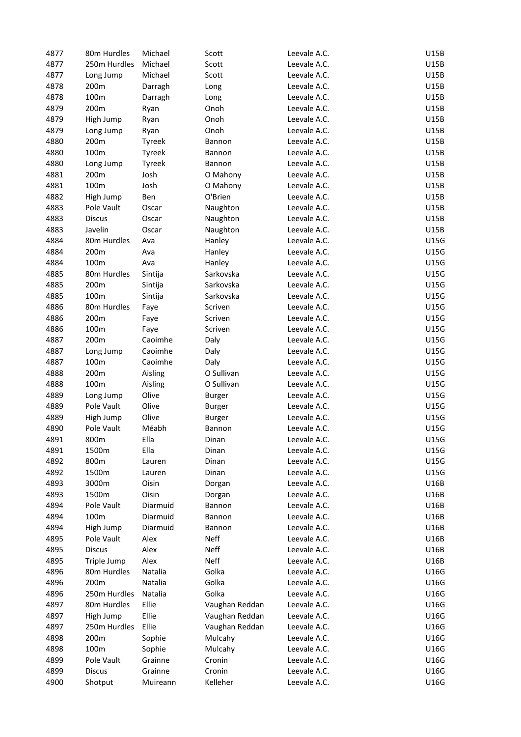| 4877 | 80m Hurdles   | Michael       | Scott          | Leevale A.C. | U15B |
|------|---------------|---------------|----------------|--------------|------|
| 4877 | 250m Hurdles  | Michael       | Scott          | Leevale A.C. | U15B |
| 4877 | Long Jump     | Michael       | Scott          | Leevale A.C. | U15B |
| 4878 | 200m          | Darragh       | Long           | Leevale A.C. | U15B |
| 4878 | 100m          | Darragh       | Long           | Leevale A.C. | U15B |
| 4879 | 200m          | Ryan          | Onoh           | Leevale A.C. | U15B |
| 4879 | High Jump     | Ryan          | Onoh           | Leevale A.C. | U15B |
| 4879 | Long Jump     | Ryan          | Onoh           | Leevale A.C. | U15B |
| 4880 | 200m          | Tyreek        | Bannon         | Leevale A.C. | U15B |
| 4880 | 100m          | Tyreek        |                | Leevale A.C. | U15B |
|      |               |               | Bannon         |              |      |
| 4880 | Long Jump     | <b>Tyreek</b> | Bannon         | Leevale A.C. | U15B |
| 4881 | 200m          | Josh          | O Mahony       | Leevale A.C. | U15B |
| 4881 | 100m          | Josh          | O Mahony       | Leevale A.C. | U15B |
| 4882 | High Jump     | Ben           | O'Brien        | Leevale A.C. | U15B |
| 4883 | Pole Vault    | Oscar         | Naughton       | Leevale A.C. | U15B |
| 4883 | <b>Discus</b> | Oscar         | Naughton       | Leevale A.C. | U15B |
| 4883 | Javelin       | Oscar         | Naughton       | Leevale A.C. | U15B |
| 4884 | 80m Hurdles   | Ava           | Hanley         | Leevale A.C. | U15G |
| 4884 | 200m          | Ava           | Hanley         | Leevale A.C. | U15G |
| 4884 | 100m          | Ava           | Hanley         | Leevale A.C. | U15G |
| 4885 | 80m Hurdles   | Sintija       | Sarkovska      | Leevale A.C. | U15G |
| 4885 | 200m          | Sintija       | Sarkovska      | Leevale A.C. | U15G |
| 4885 | 100m          | Sintija       | Sarkovska      | Leevale A.C. | U15G |
| 4886 | 80m Hurdles   | Faye          | Scriven        | Leevale A.C. | U15G |
| 4886 | 200m          | Faye          | Scriven        | Leevale A.C. | U15G |
| 4886 | 100m          | Faye          | Scriven        | Leevale A.C. | U15G |
| 4887 | 200m          | Caoimhe       | Daly           | Leevale A.C. | U15G |
| 4887 | Long Jump     | Caoimhe       | Daly           | Leevale A.C. | U15G |
| 4887 | 100m          | Caoimhe       | Daly           | Leevale A.C. | U15G |
| 4888 | 200m          | Aisling       | O Sullivan     | Leevale A.C. | U15G |
| 4888 | 100m          | Aisling       | O Sullivan     | Leevale A.C. | U15G |
| 4889 | Long Jump     | Olive         | <b>Burger</b>  | Leevale A.C. | U15G |
| 4889 | Pole Vault    | Olive         |                | Leevale A.C. | U15G |
| 4889 |               | Olive         | <b>Burger</b>  |              | U15G |
|      | High Jump     |               | <b>Burger</b>  | Leevale A.C. |      |
| 4890 | Pole Vault    | Méabh         | Bannon         | Leevale A.C. | U15G |
| 4891 | 800m          | Ella          | Dinan          | Leevale A.C. | U15G |
| 4891 | 1500m         | Ella          | Dinan          | Leevale A.C. | U15G |
| 4892 | 800m          | Lauren        | Dinan          | Leevale A.C. | U15G |
| 4892 | 1500m         | Lauren        | Dinan          | Leevale A.C. | U15G |
| 4893 | 3000m         | Oisin         | Dorgan         | Leevale A.C. | U16B |
| 4893 | 1500m         | Oisin         | Dorgan         | Leevale A.C. | U16B |
| 4894 | Pole Vault    | Diarmuid      | Bannon         | Leevale A.C. | U16B |
| 4894 | 100m          | Diarmuid      | Bannon         | Leevale A.C. | U16B |
| 4894 | High Jump     | Diarmuid      | Bannon         | Leevale A.C. | U16B |
| 4895 | Pole Vault    | Alex          | Neff           | Leevale A.C. | U16B |
| 4895 | <b>Discus</b> | Alex          | Neff           | Leevale A.C. | U16B |
| 4895 | Triple Jump   | Alex          | Neff           | Leevale A.C. | U16B |
| 4896 | 80m Hurdles   | Natalia       | Golka          | Leevale A.C. | U16G |
| 4896 | 200m          | Natalia       | Golka          | Leevale A.C. | U16G |
| 4896 | 250m Hurdles  | Natalia       | Golka          | Leevale A.C. | U16G |
| 4897 | 80m Hurdles   | Ellie         | Vaughan Reddan | Leevale A.C. | U16G |
| 4897 | High Jump     | Ellie         | Vaughan Reddan | Leevale A.C. | U16G |
| 4897 | 250m Hurdles  | Ellie         | Vaughan Reddan | Leevale A.C. | U16G |
| 4898 | 200m          | Sophie        | Mulcahy        | Leevale A.C. | U16G |
| 4898 | 100m          | Sophie        | Mulcahy        | Leevale A.C. | U16G |
| 4899 | Pole Vault    | Grainne       | Cronin         | Leevale A.C. | U16G |
| 4899 | <b>Discus</b> | Grainne       | Cronin         | Leevale A.C. | U16G |
| 4900 | Shotput       | Muireann      | Kelleher       | Leevale A.C. | U16G |
|      |               |               |                |              |      |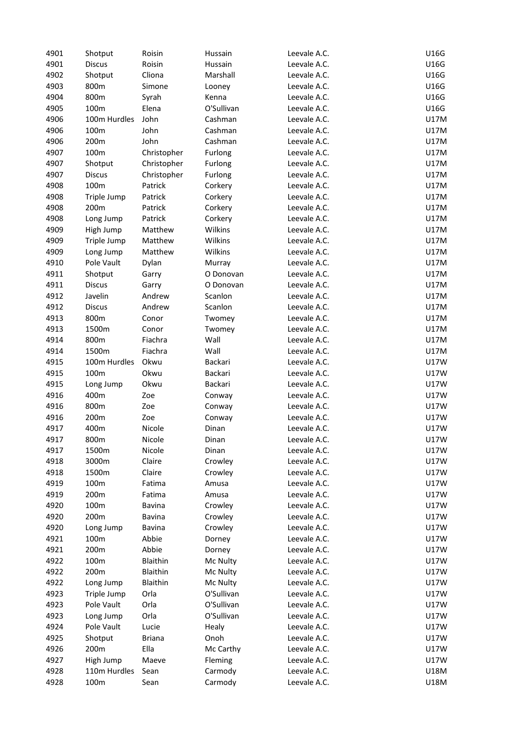| 4901 | Shotput       | Roisin        | Hussain    | Leevale A.C. | U16G        |
|------|---------------|---------------|------------|--------------|-------------|
| 4901 | <b>Discus</b> | Roisin        | Hussain    | Leevale A.C. | U16G        |
| 4902 | Shotput       | Cliona        | Marshall   | Leevale A.C. | U16G        |
| 4903 | 800m          | Simone        | Looney     | Leevale A.C. | U16G        |
| 4904 | 800m          | Syrah         | Kenna      | Leevale A.C. | U16G        |
| 4905 | 100m          | Elena         | O'Sullivan | Leevale A.C. | U16G        |
| 4906 | 100m Hurdles  | John          | Cashman    | Leevale A.C. | U17M        |
| 4906 | 100m          | John          | Cashman    | Leevale A.C. | U17M        |
| 4906 | 200m          | John          | Cashman    | Leevale A.C. | U17M        |
| 4907 | 100m          |               |            | Leevale A.C. | U17M        |
|      |               | Christopher   | Furlong    |              |             |
| 4907 | Shotput       | Christopher   | Furlong    | Leevale A.C. | U17M        |
| 4907 | <b>Discus</b> | Christopher   | Furlong    | Leevale A.C. | U17M        |
| 4908 | 100m          | Patrick       | Corkery    | Leevale A.C. | U17M        |
| 4908 | Triple Jump   | Patrick       | Corkery    | Leevale A.C. | U17M        |
| 4908 | 200m          | Patrick       | Corkery    | Leevale A.C. | U17M        |
| 4908 | Long Jump     | Patrick       | Corkery    | Leevale A.C. | U17M        |
| 4909 | High Jump     | Matthew       | Wilkins    | Leevale A.C. | U17M        |
| 4909 | Triple Jump   | Matthew       | Wilkins    | Leevale A.C. | <b>U17M</b> |
| 4909 | Long Jump     | Matthew       | Wilkins    | Leevale A.C. | U17M        |
| 4910 | Pole Vault    | Dylan         | Murray     | Leevale A.C. | U17M        |
| 4911 | Shotput       | Garry         | O Donovan  | Leevale A.C. | U17M        |
| 4911 | <b>Discus</b> | Garry         | O Donovan  | Leevale A.C. | U17M        |
| 4912 | Javelin       | Andrew        | Scanlon    | Leevale A.C. | U17M        |
| 4912 | <b>Discus</b> | Andrew        | Scanlon    | Leevale A.C. | U17M        |
| 4913 | 800m          | Conor         | Twomey     | Leevale A.C. | U17M        |
| 4913 | 1500m         | Conor         | Twomey     | Leevale A.C. | U17M        |
| 4914 | 800m          | Fiachra       | Wall       | Leevale A.C. | U17M        |
| 4914 | 1500m         | Fiachra       | Wall       | Leevale A.C. | U17M        |
|      |               |               |            |              |             |
| 4915 | 100m Hurdles  | Okwu          | Backari    | Leevale A.C. | U17W        |
| 4915 | 100m          | Okwu          | Backari    | Leevale A.C. | U17W        |
| 4915 | Long Jump     | Okwu          | Backari    | Leevale A.C. | U17W        |
| 4916 | 400m          | Zoe           | Conway     | Leevale A.C. | U17W        |
| 4916 | 800m          | Zoe           | Conway     | Leevale A.C. | <b>U17W</b> |
| 4916 | 200m          | Zoe           | Conway     | Leevale A.C. | <b>U17W</b> |
| 4917 | 400m          | Nicole        | Dinan      | Leevale A.C. | U17W        |
| 4917 | 800m          | Nicole        | Dinan      | Leevale A.C. | U17W        |
| 4917 | 1500m         | Nicole        | Dinan      | Leevale A.C. | <b>U17W</b> |
| 4918 | 3000m         | Claire        | Crowley    | Leevale A.C. | U17W        |
| 4918 | 1500m         | Claire        | Crowley    | Leevale A.C. | U17W        |
| 4919 | 100m          | Fatima        | Amusa      | Leevale A.C. | U17W        |
| 4919 | 200m          | Fatima        | Amusa      | Leevale A.C. | U17W        |
| 4920 | 100m          | Bavina        | Crowley    | Leevale A.C. | <b>U17W</b> |
| 4920 | 200m          | Bavina        | Crowley    | Leevale A.C. | <b>U17W</b> |
| 4920 | Long Jump     | Bavina        | Crowley    | Leevale A.C. | <b>U17W</b> |
| 4921 | 100m          | Abbie         | Dorney     | Leevale A.C. | U17W        |
| 4921 | 200m          | Abbie         | Dorney     | Leevale A.C. | U17W        |
| 4922 | 100m          | Blaithin      | Mc Nulty   | Leevale A.C. | U17W        |
| 4922 | 200m          | Blaithin      | Mc Nulty   | Leevale A.C. | U17W        |
| 4922 | Long Jump     | Blaithin      | Mc Nulty   | Leevale A.C. | U17W        |
|      |               |               |            |              |             |
| 4923 | Triple Jump   | Orla          | O'Sullivan | Leevale A.C. | U17W        |
| 4923 | Pole Vault    | Orla          | O'Sullivan | Leevale A.C. | U17W        |
| 4923 | Long Jump     | Orla          | O'Sullivan | Leevale A.C. | U17W        |
| 4924 | Pole Vault    | Lucie         | Healy      | Leevale A.C. | U17W        |
| 4925 | Shotput       | <b>Briana</b> | Onoh       | Leevale A.C. | U17W        |
| 4926 | 200m          | Ella          | Mc Carthy  | Leevale A.C. | U17W        |
| 4927 | High Jump     | Maeve         | Fleming    | Leevale A.C. | U17W        |
| 4928 | 110m Hurdles  | Sean          | Carmody    | Leevale A.C. | U18M        |
| 4928 | 100m          | Sean          | Carmody    | Leevale A.C. | U18M        |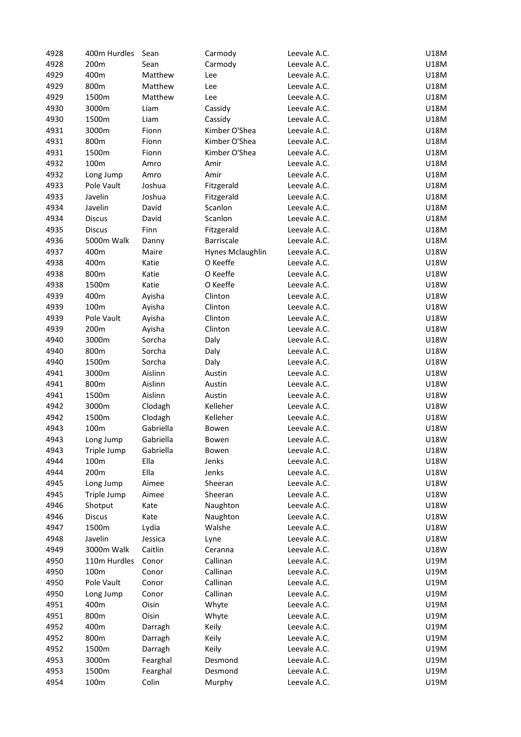| 4928 | 400m Hurdles  | Sean      | Carmody          | Leevale A.C. | U18M        |
|------|---------------|-----------|------------------|--------------|-------------|
| 4928 | 200m          | Sean      | Carmody          | Leevale A.C. | U18M        |
| 4929 | 400m          | Matthew   | Lee              | Leevale A.C. | U18M        |
| 4929 | 800m          | Matthew   | Lee              | Leevale A.C. | U18M        |
| 4929 | 1500m         | Matthew   | Lee              | Leevale A.C. | U18M        |
| 4930 | 3000m         | Liam      | Cassidy          | Leevale A.C. | U18M        |
| 4930 | 1500m         | Liam      | Cassidy          | Leevale A.C. | U18M        |
| 4931 | 3000m         | Fionn     | Kimber O'Shea    | Leevale A.C. | U18M        |
| 4931 | 800m          | Fionn     | Kimber O'Shea    | Leevale A.C. | U18M        |
| 4931 | 1500m         | Fionn     | Kimber O'Shea    | Leevale A.C. | U18M        |
|      |               |           |                  |              |             |
| 4932 | 100m          | Amro      | Amir             | Leevale A.C. | U18M        |
| 4932 | Long Jump     | Amro      | Amir             | Leevale A.C. | U18M        |
| 4933 | Pole Vault    | Joshua    | Fitzgerald       | Leevale A.C. | U18M        |
| 4933 | Javelin       | Joshua    | Fitzgerald       | Leevale A.C. | U18M        |
| 4934 | Javelin       | David     | Scanlon          | Leevale A.C. | U18M        |
| 4934 | <b>Discus</b> | David     | Scanlon          | Leevale A.C. | U18M        |
| 4935 | <b>Discus</b> | Finn      | Fitzgerald       | Leevale A.C. | U18M        |
| 4936 | 5000m Walk    | Danny     | Barriscale       | Leevale A.C. | U18M        |
| 4937 | 400m          | Maire     | Hynes Mclaughlin | Leevale A.C. | U18W        |
| 4938 | 400m          | Katie     | O Keeffe         | Leevale A.C. | U18W        |
| 4938 | 800m          | Katie     | O Keeffe         | Leevale A.C. | U18W        |
| 4938 | 1500m         | Katie     | O Keeffe         | Leevale A.C. | U18W        |
| 4939 | 400m          | Ayisha    | Clinton          | Leevale A.C. | U18W        |
| 4939 | 100m          | Ayisha    | Clinton          | Leevale A.C. | U18W        |
| 4939 | Pole Vault    | Ayisha    | Clinton          | Leevale A.C. | U18W        |
| 4939 | 200m          | Ayisha    | Clinton          | Leevale A.C. | U18W        |
| 4940 | 3000m         | Sorcha    | Daly             | Leevale A.C. | U18W        |
| 4940 | 800m          | Sorcha    | Daly             | Leevale A.C. | U18W        |
| 4940 | 1500m         | Sorcha    |                  | Leevale A.C. | U18W        |
|      |               |           | Daly             |              |             |
| 4941 | 3000m         | Aislinn   | Austin           | Leevale A.C. | U18W        |
| 4941 | 800m          | Aislinn   | Austin           | Leevale A.C. | U18W        |
| 4941 | 1500m         | Aislinn   | Austin           | Leevale A.C. | U18W        |
| 4942 | 3000m         | Clodagh   | Kelleher         | Leevale A.C. | U18W        |
| 4942 | 1500m         | Clodagh   | Kelleher         | Leevale A.C. | U18W        |
| 4943 | 100m          | Gabriella | Bowen            | Leevale A.C. | <b>U18W</b> |
| 4943 | Long Jump     | Gabriella | Bowen            | Leevale A.C. | U18W        |
| 4943 | Triple Jump   | Gabriella | Bowen            | Leevale A.C. | U18W        |
| 4944 | 100m          | Ella      | Jenks            | Leevale A.C. | U18W        |
| 4944 | 200m          | Ella      | Jenks            | Leevale A.C. | U18W        |
| 4945 | Long Jump     | Aimee     | Sheeran          | Leevale A.C. | U18W        |
| 4945 | Triple Jump   | Aimee     | Sheeran          | Leevale A.C. | U18W        |
| 4946 | Shotput       | Kate      | Naughton         | Leevale A.C. | U18W        |
| 4946 | <b>Discus</b> | Kate      | Naughton         | Leevale A.C. | U18W        |
| 4947 | 1500m         | Lydia     | Walshe           | Leevale A.C. | U18W        |
| 4948 | Javelin       | Jessica   | Lyne             | Leevale A.C. | U18W        |
| 4949 | 3000m Walk    | Caitlin   | Ceranna          | Leevale A.C. | U18W        |
| 4950 | 110m Hurdles  | Conor     | Callinan         | Leevale A.C. | U19M        |
| 4950 | 100m          | Conor     | Callinan         | Leevale A.C. | U19M        |
|      | Pole Vault    |           | Callinan         | Leevale A.C. | U19M        |
| 4950 |               | Conor     |                  |              |             |
| 4950 | Long Jump     | Conor     | Callinan         | Leevale A.C. | U19M        |
| 4951 | 400m          | Oisin     | Whyte            | Leevale A.C. | U19M        |
| 4951 | 800m          | Oisin     | Whyte            | Leevale A.C. | U19M        |
| 4952 | 400m          | Darragh   | Keily            | Leevale A.C. | U19M        |
| 4952 | 800m          | Darragh   | Keily            | Leevale A.C. | U19M        |
| 4952 | 1500m         | Darragh   | Keily            | Leevale A.C. | U19M        |
| 4953 | 3000m         | Fearghal  | Desmond          | Leevale A.C. | U19M        |
| 4953 | 1500m         | Fearghal  | Desmond          | Leevale A.C. | U19M        |
| 4954 | 100m          | Colin     | Murphy           | Leevale A.C. | U19M        |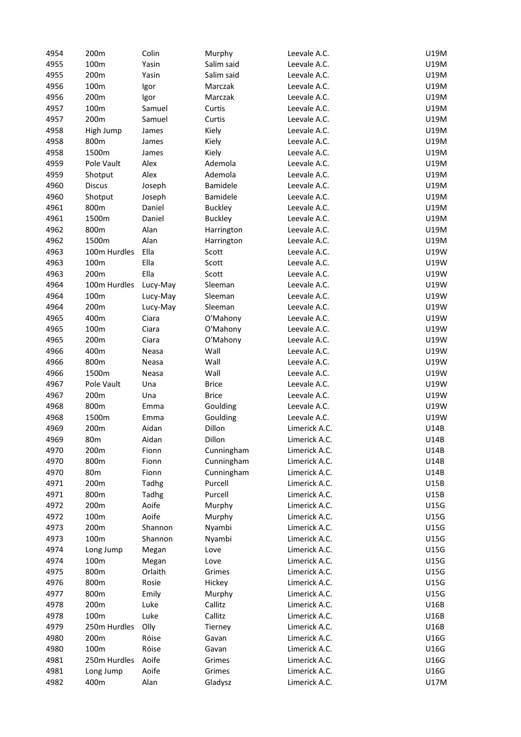| 4954 | 200m            | Colin    | Murphy         | Leevale A.C.  | U19M |
|------|-----------------|----------|----------------|---------------|------|
| 4955 | 100m            | Yasin    | Salim said     | Leevale A.C.  | U19M |
| 4955 | 200m            | Yasin    | Salim said     | Leevale A.C.  | U19M |
| 4956 | 100m            | Igor     | Marczak        | Leevale A.C.  | U19M |
| 4956 | 200m            | Igor     | Marczak        | Leevale A.C.  | U19M |
| 4957 | 100m            | Samuel   | Curtis         | Leevale A.C.  | U19M |
| 4957 | 200m            | Samuel   | Curtis         | Leevale A.C.  | U19M |
| 4958 | High Jump       | James    | Kiely          | Leevale A.C.  | U19M |
| 4958 | 800m            |          | Kiely          | Leevale A.C.  | U19M |
| 4958 | 1500m           | James    |                | Leevale A.C.  | U19M |
|      | Pole Vault      | James    | Kiely          | Leevale A.C.  |      |
| 4959 |                 | Alex     | Ademola        |               | U19M |
| 4959 | Shotput         | Alex     | Ademola        | Leevale A.C.  | U19M |
| 4960 | <b>Discus</b>   | Joseph   | Bamidele       | Leevale A.C.  | U19M |
| 4960 | Shotput         | Joseph   | Bamidele       | Leevale A.C.  | U19M |
| 4961 | 800m            | Daniel   | <b>Buckley</b> | Leevale A.C.  | U19M |
| 4961 | 1500m           | Daniel   | <b>Buckley</b> | Leevale A.C.  | U19M |
| 4962 | 800m            | Alan     | Harrington     | Leevale A.C.  | U19M |
| 4962 | 1500m           | Alan     | Harrington     | Leevale A.C.  | U19M |
| 4963 | 100m Hurdles    | Ella     | Scott          | Leevale A.C.  | U19W |
| 4963 | 100m            | Ella     | Scott          | Leevale A.C.  | U19W |
| 4963 | 200m            | Ella     | Scott          | Leevale A.C.  | U19W |
| 4964 | 100m Hurdles    | Lucy-May | Sleeman        | Leevale A.C.  | U19W |
| 4964 | 100m            | Lucy-May | Sleeman        | Leevale A.C.  | U19W |
| 4964 | 200m            | Lucy-May | Sleeman        | Leevale A.C.  | U19W |
| 4965 | 400m            | Ciara    | O'Mahony       | Leevale A.C.  | U19W |
| 4965 | 100m            | Ciara    | O'Mahony       | Leevale A.C.  | U19W |
| 4965 | 200m            | Ciara    | O'Mahony       | Leevale A.C.  | U19W |
| 4966 | 400m            | Neasa    | Wall           | Leevale A.C.  | U19W |
| 4966 | 800m            | Neasa    | Wall           | Leevale A.C.  | U19W |
| 4966 | 1500m           | Neasa    | Wall           | Leevale A.C.  | U19W |
| 4967 | Pole Vault      | Una      | <b>Brice</b>   | Leevale A.C.  | U19W |
| 4967 | 200m            | Una      | <b>Brice</b>   | Leevale A.C.  | U19W |
| 4968 | 800m            | Emma     | Goulding       | Leevale A.C.  | U19W |
| 4968 | 1500m           | Emma     | Goulding       | Leevale A.C.  | U19W |
| 4969 | 200m            | Aidan    | Dillon         | Limerick A.C. | U14B |
| 4969 | 80 <sub>m</sub> | Aidan    | Dillon         | Limerick A.C. | U14B |
| 4970 | 200m            | Fionn    | Cunningham     | Limerick A.C. | U14B |
| 4970 | 800m            | Fionn    | Cunningham     |               | U14B |
|      |                 |          |                | Limerick A.C. |      |
| 4970 | 80 <sub>m</sub> | Fionn    | Cunningham     | Limerick A.C. | U14B |
| 4971 | 200m            | Tadhg    | Purcell        | Limerick A.C. | U15B |
| 4971 | 800m            | Tadhg    | Purcell        | Limerick A.C. | U15B |
| 4972 | 200m            | Aoife    | Murphy         | Limerick A.C. | U15G |
| 4972 | 100m            | Aoife    | Murphy         | Limerick A.C. | U15G |
| 4973 | 200m            | Shannon  | Nyambi         | Limerick A.C. | U15G |
| 4973 | 100m            | Shannon  | Nyambi         | Limerick A.C. | U15G |
| 4974 | Long Jump       | Megan    | Love           | Limerick A.C. | U15G |
| 4974 | 100m            | Megan    | Love           | Limerick A.C. | U15G |
| 4975 | 800m            | Orlaith  | Grimes         | Limerick A.C. | U15G |
| 4976 | 800m            | Rosie    | Hickey         | Limerick A.C. | U15G |
| 4977 | 800m            | Emily    | Murphy         | Limerick A.C. | U15G |
| 4978 | 200m            | Luke     | Callitz        | Limerick A.C. | U16B |
| 4978 | 100m            | Luke     | Callitz        | Limerick A.C. | U16B |
| 4979 | 250m Hurdles    | Olly     | Tierney        | Limerick A.C. | U16B |
| 4980 | 200m            | Róise    | Gavan          | Limerick A.C. | U16G |
| 4980 | 100m            | Róise    | Gavan          | Limerick A.C. | U16G |
| 4981 | 250m Hurdles    | Aoife    | Grimes         | Limerick A.C. | U16G |
| 4981 | Long Jump       | Aoife    | Grimes         | Limerick A.C. | U16G |
| 4982 | 400m            | Alan     | Gladysz        | Limerick A.C. | U17M |
|      |                 |          |                |               |      |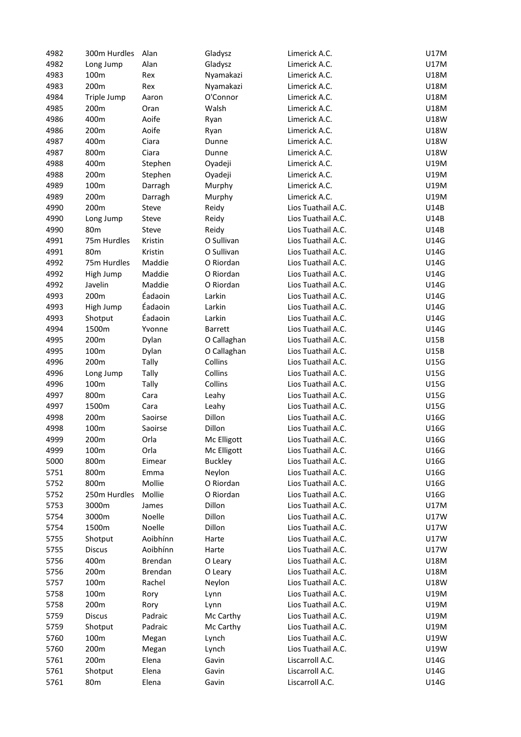| 4982 | 300m Hurdles    | Alan     | Gladysz        | Limerick A.C.      | U17M        |
|------|-----------------|----------|----------------|--------------------|-------------|
| 4982 | Long Jump       | Alan     | Gladysz        | Limerick A.C.      | U17M        |
| 4983 | 100m            | Rex      | Nyamakazi      | Limerick A.C.      | U18M        |
| 4983 | 200m            | Rex      | Nyamakazi      | Limerick A.C.      | U18M        |
| 4984 | Triple Jump     | Aaron    | O'Connor       | Limerick A.C.      | U18M        |
| 4985 | 200m            | Oran     | Walsh          | Limerick A.C.      | U18M        |
| 4986 | 400m            | Aoife    | Ryan           | Limerick A.C.      | <b>U18W</b> |
| 4986 | 200m            | Aoife    | Ryan           | Limerick A.C.      | U18W        |
| 4987 | 400m            | Ciara    | Dunne          | Limerick A.C.      | U18W        |
| 4987 | 800m            | Ciara    | Dunne          | Limerick A.C.      | <b>U18W</b> |
| 4988 | 400m            | Stephen  | Oyadeji        | Limerick A.C.      | U19M        |
| 4988 | 200m            | Stephen  | Oyadeji        | Limerick A.C.      | U19M        |
| 4989 | 100m            | Darragh  | Murphy         | Limerick A.C.      | U19M        |
| 4989 | 200m            | Darragh  | Murphy         | Limerick A.C.      | U19M        |
| 4990 | 200m            | Steve    | Reidy          | Lios Tuathail A.C. | U14B        |
| 4990 | Long Jump       | Steve    | Reidy          | Lios Tuathail A.C. | U14B        |
| 4990 | 80 <sub>m</sub> | Steve    | Reidy          | Lios Tuathail A.C. | U14B        |
| 4991 | 75m Hurdles     | Kristin  | O Sullivan     | Lios Tuathail A.C. | U14G        |
| 4991 | 80 <sub>m</sub> | Kristin  | O Sullivan     | Lios Tuathail A.C. | U14G        |
| 4992 | 75m Hurdles     | Maddie   | O Riordan      | Lios Tuathail A.C. | U14G        |
| 4992 | High Jump       | Maddie   | O Riordan      | Lios Tuathail A.C. | U14G        |
| 4992 | Javelin         | Maddie   | O Riordan      | Lios Tuathail A.C. | U14G        |
|      |                 | Éadaoin  |                | Lios Tuathail A.C. |             |
| 4993 | 200m            |          | Larkin         |                    | U14G        |
| 4993 | High Jump       | Éadaoin  | Larkin         | Lios Tuathail A.C. | U14G        |
| 4993 | Shotput         | Éadaoin  | Larkin         | Lios Tuathail A.C. | U14G        |
| 4994 | 1500m           | Yvonne   | <b>Barrett</b> | Lios Tuathail A.C. | U14G        |
| 4995 | 200m            | Dylan    | O Callaghan    | Lios Tuathail A.C. | U15B        |
| 4995 | 100m            | Dylan    | O Callaghan    | Lios Tuathail A.C. | U15B        |
| 4996 | 200m            | Tally    | Collins        | Lios Tuathail A.C. | U15G        |
| 4996 | Long Jump       | Tally    | Collins        | Lios Tuathail A.C. | U15G        |
| 4996 | 100m            | Tally    | Collins        | Lios Tuathail A.C. | U15G        |
| 4997 | 800m            | Cara     | Leahy          | Lios Tuathail A.C. | U15G        |
| 4997 | 1500m           | Cara     | Leahy          | Lios Tuathail A.C. | U15G        |
| 4998 | 200m            | Saoirse  | Dillon         | Lios Tuathail A.C. | U16G        |
| 4998 | 100m            | Saoirse  | Dillon         | Lios Tuathail A.C. | U16G        |
| 4999 | 200m            | Orla     | Mc Elligott    | Lios Tuathail A.C. | U16G        |
| 4999 | 100m            | Orla     | Mc Elligott    | Lios Tuathail A.C. | U16G        |
| 5000 | 800m            | Eimear   | <b>Buckley</b> | Lios Tuathail A.C. | U16G        |
| 5751 | 800m            | Emma     | Neylon         | Lios Tuathail A.C. | U16G        |
| 5752 | 800m            | Mollie   | O Riordan      | Lios Tuathail A.C. | U16G        |
| 5752 | 250m Hurdles    | Mollie   | O Riordan      | Lios Tuathail A.C. | U16G        |
| 5753 | 3000m           | James    | Dillon         | Lios Tuathail A.C. | U17M        |
| 5754 | 3000m           | Noelle   | Dillon         | Lios Tuathail A.C. | U17W        |
| 5754 | 1500m           | Noelle   | Dillon         | Lios Tuathail A.C. | U17W        |
| 5755 | Shotput         | Aoibhínn | Harte          | Lios Tuathail A.C. | U17W        |
| 5755 | <b>Discus</b>   | Aoibhínn | Harte          | Lios Tuathail A.C. | U17W        |
| 5756 | 400m            | Brendan  | O Leary        | Lios Tuathail A.C. | U18M        |
| 5756 | 200m            | Brendan  | O Leary        | Lios Tuathail A.C. | U18M        |
| 5757 | 100m            | Rachel   | Neylon         | Lios Tuathail A.C. | U18W        |
| 5758 | 100m            | Rory     | Lynn           | Lios Tuathail A.C. | U19M        |
| 5758 | 200m            | Rory     | Lynn           | Lios Tuathail A.C. | U19M        |
| 5759 | <b>Discus</b>   | Padraic  | Mc Carthy      | Lios Tuathail A.C. | U19M        |
| 5759 | Shotput         | Padraic  | Mc Carthy      | Lios Tuathail A.C. | U19M        |
| 5760 | 100m            | Megan    | Lynch          | Lios Tuathail A.C. | U19W        |
| 5760 | 200m            |          |                | Lios Tuathail A.C. | U19W        |
|      |                 | Megan    | Lynch          | Liscarroll A.C.    |             |
| 5761 | 200m            | Elena    | Gavin          |                    | U14G        |
| 5761 | Shotput         | Elena    | Gavin          | Liscarroll A.C.    | U14G        |
| 5761 | 80m             | Elena    | Gavin          | Liscarroll A.C.    | U14G        |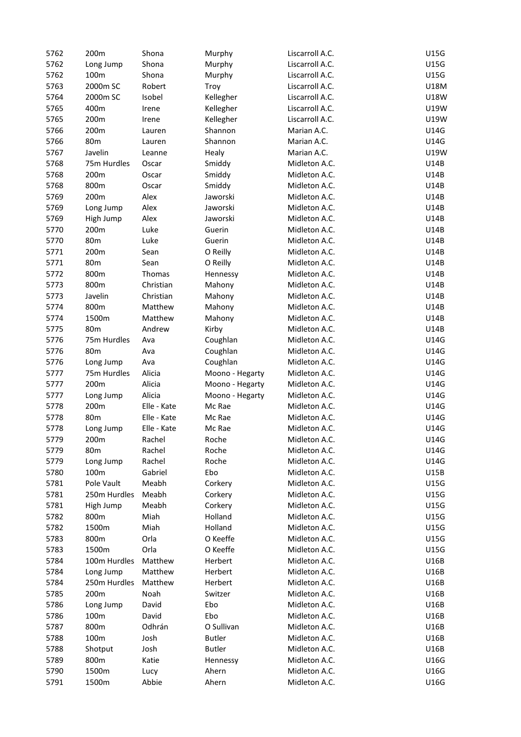| 5762 | 200m            | Shona       | Murphy          | Liscarroll A.C. | U15G        |
|------|-----------------|-------------|-----------------|-----------------|-------------|
| 5762 | Long Jump       | Shona       | Murphy          | Liscarroll A.C. | U15G        |
| 5762 | 100m            | Shona       | Murphy          | Liscarroll A.C. | U15G        |
| 5763 | 2000m SC        | Robert      | Troy            | Liscarroll A.C. | U18M        |
| 5764 | 2000m SC        | Isobel      | Kellegher       | Liscarroll A.C. | <b>U18W</b> |
| 5765 | 400m            | Irene       | Kellegher       | Liscarroll A.C. | U19W        |
| 5765 | 200m            | Irene       | Kellegher       | Liscarroll A.C. | U19W        |
| 5766 | 200m            | Lauren      | Shannon         | Marian A.C.     | U14G        |
| 5766 | 80 <sub>m</sub> |             | Shannon         | Marian A.C.     | U14G        |
|      | Javelin         | Lauren      |                 |                 |             |
| 5767 |                 | Leanne      | Healy           | Marian A.C.     | U19W        |
| 5768 | 75m Hurdles     | Oscar       | Smiddy          | Midleton A.C.   | <b>U14B</b> |
| 5768 | 200m            | Oscar       | Smiddy          | Midleton A.C.   | U14B        |
| 5768 | 800m            | Oscar       | Smiddy          | Midleton A.C.   | U14B        |
| 5769 | 200m            | Alex        | Jaworski        | Midleton A.C.   | U14B        |
| 5769 | Long Jump       | Alex        | Jaworski        | Midleton A.C.   | U14B        |
| 5769 | High Jump       | Alex        | Jaworski        | Midleton A.C.   | U14B        |
| 5770 | 200m            | Luke        | Guerin          | Midleton A.C.   | U14B        |
| 5770 | 80 <sub>m</sub> | Luke        | Guerin          | Midleton A.C.   | U14B        |
| 5771 | 200m            | Sean        | O Reilly        | Midleton A.C.   | U14B        |
| 5771 | 80 <sub>m</sub> | Sean        | O Reilly        | Midleton A.C.   | U14B        |
| 5772 | 800m            | Thomas      | Hennessy        | Midleton A.C.   | U14B        |
| 5773 | 800m            | Christian   | Mahony          | Midleton A.C.   | U14B        |
| 5773 | Javelin         | Christian   | Mahony          | Midleton A.C.   | U14B        |
| 5774 | 800m            | Matthew     | Mahony          | Midleton A.C.   | U14B        |
| 5774 | 1500m           | Matthew     | Mahony          | Midleton A.C.   | U14B        |
| 5775 | 80 <sub>m</sub> | Andrew      | Kirby           | Midleton A.C.   | U14B        |
| 5776 | 75m Hurdles     | Ava         | Coughlan        | Midleton A.C.   | U14G        |
| 5776 | 80 <sub>m</sub> | Ava         | Coughlan        | Midleton A.C.   | U14G        |
|      |                 | Ava         |                 | Midleton A.C.   | U14G        |
| 5776 | Long Jump       |             | Coughlan        |                 |             |
| 5777 | 75m Hurdles     | Alicia      | Moono - Hegarty | Midleton A.C.   | U14G        |
| 5777 | 200m            | Alicia      | Moono - Hegarty | Midleton A.C.   | U14G        |
| 5777 | Long Jump       | Alicia      | Moono - Hegarty | Midleton A.C.   | U14G        |
| 5778 | 200m            | Elle - Kate | Mc Rae          | Midleton A.C.   | U14G        |
| 5778 | 80 <sub>m</sub> | Elle - Kate | Mc Rae          | Midleton A.C.   | U14G        |
| 5778 | Long Jump       | Elle - Kate | Mc Rae          | Midleton A.C.   | U14G        |
| 5779 | 200m            | Rachel      | Roche           | Midleton A.C.   | U14G        |
| 5779 | 80 <sub>m</sub> | Rachel      | Roche           | Midleton A.C.   | U14G        |
| 5779 | Long Jump       | Rachel      | Roche           | Midleton A.C.   | U14G        |
| 5780 | 100m            | Gabriel     | Ebo             | Midleton A.C.   | U15B        |
| 5781 | Pole Vault      | Meabh       | Corkery         | Midleton A.C.   | U15G        |
| 5781 | 250m Hurdles    | Meabh       | Corkery         | Midleton A.C.   | U15G        |
| 5781 | High Jump       | Meabh       | Corkery         | Midleton A.C.   | U15G        |
| 5782 | 800m            | Miah        | Holland         | Midleton A.C.   | U15G        |
| 5782 | 1500m           | Miah        | Holland         | Midleton A.C.   | U15G        |
| 5783 | 800m            | Orla        | O Keeffe        | Midleton A.C.   | U15G        |
| 5783 | 1500m           | Orla        | O Keeffe        | Midleton A.C.   | U15G        |
| 5784 | 100m Hurdles    | Matthew     | Herbert         | Midleton A.C.   | U16B        |
| 5784 | Long Jump       | Matthew     | Herbert         | Midleton A.C.   | U16B        |
| 5784 | 250m Hurdles    | Matthew     | Herbert         | Midleton A.C.   | U16B        |
| 5785 | 200m            | Noah        | Switzer         | Midleton A.C.   | U16B        |
| 5786 | Long Jump       | David       | Ebo             | Midleton A.C.   | U16B        |
|      |                 |             |                 |                 |             |
| 5786 | 100m            | David       | Ebo             | Midleton A.C.   | U16B        |
| 5787 | 800m            | Odhrán      | O Sullivan      | Midleton A.C.   | U16B        |
| 5788 | 100m            | Josh        | <b>Butler</b>   | Midleton A.C.   | U16B        |
| 5788 | Shotput         | Josh        | <b>Butler</b>   | Midleton A.C.   | U16B        |
| 5789 | 800m            | Katie       | Hennessy        | Midleton A.C.   | U16G        |
| 5790 | 1500m           | Lucy        | Ahern           | Midleton A.C.   | U16G        |
| 5791 | 1500m           | Abbie       | Ahern           | Midleton A.C.   | U16G        |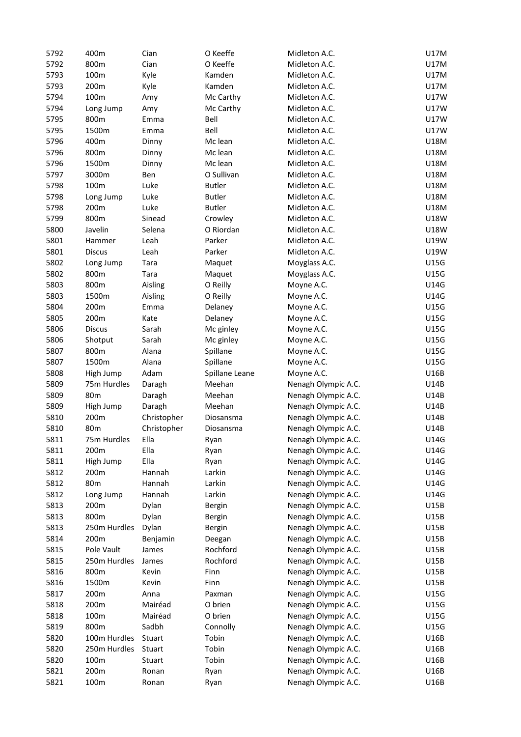| 5792 | 400m            | Cian               | O Keeffe       | Midleton A.C.       | <b>U17M</b> |
|------|-----------------|--------------------|----------------|---------------------|-------------|
| 5792 | 800m            | Cian               | O Keeffe       | Midleton A.C.       | U17M        |
| 5793 | 100m            | Kyle               | Kamden         | Midleton A.C.       | U17M        |
| 5793 | 200m            | Kyle               | Kamden         | Midleton A.C.       | U17M        |
| 5794 | 100m            | Amy                | Mc Carthy      | Midleton A.C.       | U17W        |
| 5794 | Long Jump       | Amy                | Mc Carthy      | Midleton A.C.       | <b>U17W</b> |
| 5795 | 800m            | Emma               | Bell           | Midleton A.C.       | U17W        |
| 5795 | 1500m           | Emma               | Bell           | Midleton A.C.       | U17W        |
| 5796 | 400m            | Dinny              | Mc lean        | Midleton A.C.       | U18M        |
| 5796 | 800m            | Dinny              | Mc lean        | Midleton A.C.       | U18M        |
| 5796 | 1500m           | Dinny              | Mc lean        | Midleton A.C.       | U18M        |
| 5797 | 3000m           | Ben                | O Sullivan     | Midleton A.C.       | U18M        |
| 5798 | 100m            | Luke               | <b>Butler</b>  | Midleton A.C.       | U18M        |
| 5798 | Long Jump       | Luke               | <b>Butler</b>  | Midleton A.C.       | U18M        |
| 5798 | 200m            | Luke               | <b>Butler</b>  | Midleton A.C.       | U18M        |
| 5799 | 800m            | Sinead             | Crowley        | Midleton A.C.       | <b>U18W</b> |
| 5800 | Javelin         | Selena             | O Riordan      | Midleton A.C.       | U18W        |
| 5801 | Hammer          | Leah               | Parker         | Midleton A.C.       | U19W        |
| 5801 | <b>Discus</b>   | Leah               | Parker         | Midleton A.C.       | U19W        |
| 5802 | Long Jump       | Tara               | Maquet         | Moyglass A.C.       | U15G        |
| 5802 | 800m            | Tara               | Maquet         | Moyglass A.C.       | U15G        |
| 5803 | 800m            |                    | O Reilly       |                     | U14G        |
| 5803 | 1500m           | Aisling<br>Aisling | O Reilly       | Moyne A.C.          | U14G        |
|      |                 |                    |                | Moyne A.C.          |             |
| 5804 | 200m            | Emma               | Delaney        | Moyne A.C.          | U15G        |
| 5805 | 200m            | Kate               | Delaney        | Moyne A.C.          | U15G        |
| 5806 | <b>Discus</b>   | Sarah              | Mc ginley      | Moyne A.C.          | U15G        |
| 5806 | Shotput         | Sarah              | Mc ginley      | Moyne A.C.          | U15G        |
| 5807 | 800m            | Alana              | Spillane       | Moyne A.C.          | U15G        |
| 5807 | 1500m           | Alana              | Spillane       | Moyne A.C.          | U15G        |
| 5808 | High Jump       | Adam               | Spillane Leane | Moyne A.C.          | U16B        |
| 5809 | 75m Hurdles     | Daragh             | Meehan         | Nenagh Olympic A.C. | U14B        |
| 5809 | 80 <sub>m</sub> | Daragh             | Meehan         | Nenagh Olympic A.C. | U14B        |
| 5809 | High Jump       | Daragh             | Meehan         | Nenagh Olympic A.C. | U14B        |
| 5810 | 200m            | Christopher        | Diosansma      | Nenagh Olympic A.C. | U14B        |
| 5810 | 80 <sub>m</sub> | Christopher        | Diosansma      | Nenagh Olympic A.C. | U14B        |
| 5811 | 75m Hurdles     | Ella               | Ryan           | Nenagh Olympic A.C. | U14G        |
| 5811 | 200m            | Ella               | Ryan           | Nenagh Olympic A.C. | U14G        |
| 5811 | High Jump       | Ella               | Ryan           | Nenagh Olympic A.C. | U14G        |
| 5812 | 200m            | Hannah             | Larkin         | Nenagh Olympic A.C. | U14G        |
| 5812 | 80m             | Hannah             | Larkin         | Nenagh Olympic A.C. | U14G        |
| 5812 | Long Jump       | Hannah             | Larkin         | Nenagh Olympic A.C. | U14G        |
| 5813 | 200m            | Dylan              | Bergin         | Nenagh Olympic A.C. | U15B        |
| 5813 | 800m            | Dylan              | <b>Bergin</b>  | Nenagh Olympic A.C. | U15B        |
| 5813 | 250m Hurdles    | Dylan              | <b>Bergin</b>  | Nenagh Olympic A.C. | U15B        |
| 5814 | 200m            | Benjamin           | Deegan         | Nenagh Olympic A.C. | U15B        |
| 5815 | Pole Vault      | James              | Rochford       | Nenagh Olympic A.C. | U15B        |
| 5815 | 250m Hurdles    | James              | Rochford       | Nenagh Olympic A.C. | U15B        |
| 5816 | 800m            | Kevin              | Finn           | Nenagh Olympic A.C. | U15B        |
| 5816 | 1500m           | Kevin              | Finn           | Nenagh Olympic A.C. | U15B        |
| 5817 | 200m            | Anna               | Paxman         | Nenagh Olympic A.C. | U15G        |
| 5818 | 200m            | Mairéad            | O brien        | Nenagh Olympic A.C. | U15G        |
| 5818 | 100m            | Mairéad            | O brien        | Nenagh Olympic A.C. | U15G        |
| 5819 | 800m            | Sadbh              | Connolly       | Nenagh Olympic A.C. | U15G        |
| 5820 | 100m Hurdles    | Stuart             | Tobin          | Nenagh Olympic A.C. | U16B        |
| 5820 | 250m Hurdles    | Stuart             | Tobin          | Nenagh Olympic A.C. | U16B        |
| 5820 | 100m            | Stuart             | Tobin          | Nenagh Olympic A.C. | U16B        |
| 5821 | 200m            |                    |                | Nenagh Olympic A.C. |             |
|      |                 | Ronan              | Ryan           |                     | U16B        |
| 5821 | 100m            | Ronan              | Ryan           | Nenagh Olympic A.C. | U16B        |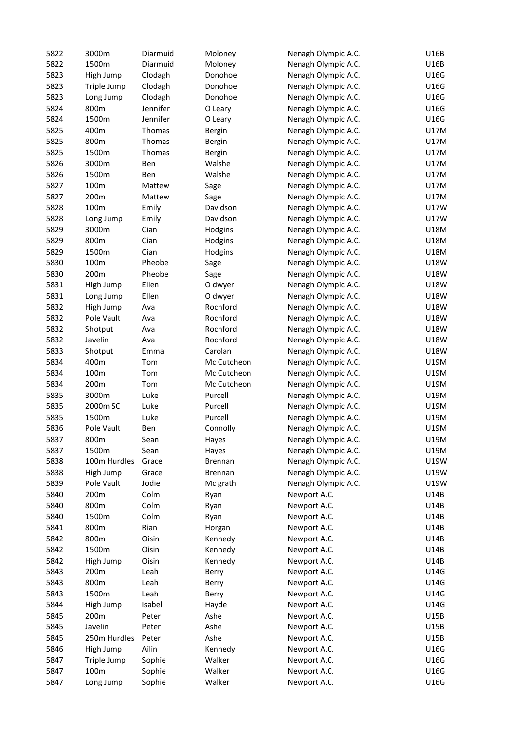| 5822 | 3000m        | Diarmuid | Moloney        | Nenagh Olympic A.C. | U16B        |
|------|--------------|----------|----------------|---------------------|-------------|
| 5822 | 1500m        | Diarmuid | Moloney        | Nenagh Olympic A.C. | U16B        |
| 5823 | High Jump    | Clodagh  | Donohoe        | Nenagh Olympic A.C. | U16G        |
| 5823 | Triple Jump  | Clodagh  | Donohoe        | Nenagh Olympic A.C. | U16G        |
| 5823 | Long Jump    | Clodagh  | Donohoe        | Nenagh Olympic A.C. | U16G        |
| 5824 | 800m         | Jennifer | O Leary        | Nenagh Olympic A.C. | U16G        |
| 5824 | 1500m        | Jennifer | O Leary        | Nenagh Olympic A.C. | U16G        |
| 5825 | 400m         | Thomas   | <b>Bergin</b>  | Nenagh Olympic A.C. | U17M        |
| 5825 | 800m         | Thomas   | <b>Bergin</b>  | Nenagh Olympic A.C. | U17M        |
| 5825 | 1500m        | Thomas   | <b>Bergin</b>  | Nenagh Olympic A.C. | U17M        |
| 5826 | 3000m        | Ben      | Walshe         | Nenagh Olympic A.C. | U17M        |
| 5826 | 1500m        | Ben      | Walshe         | Nenagh Olympic A.C. | U17M        |
| 5827 | 100m         | Mattew   | Sage           | Nenagh Olympic A.C. | U17M        |
| 5827 | 200m         | Mattew   | Sage           | Nenagh Olympic A.C. | U17M        |
| 5828 | 100m         | Emily    | Davidson       | Nenagh Olympic A.C. | U17W        |
| 5828 | Long Jump    | Emily    | Davidson       | Nenagh Olympic A.C. | <b>U17W</b> |
| 5829 | 3000m        | Cian     | Hodgins        | Nenagh Olympic A.C. | U18M        |
| 5829 | 800m         | Cian     | Hodgins        | Nenagh Olympic A.C. | U18M        |
| 5829 | 1500m        | Cian     | Hodgins        | Nenagh Olympic A.C. | U18M        |
| 5830 | 100m         | Pheobe   | Sage           | Nenagh Olympic A.C. | U18W        |
| 5830 | 200m         | Pheobe   |                | Nenagh Olympic A.C. | U18W        |
|      |              |          | Sage           |                     |             |
| 5831 | High Jump    | Ellen    | O dwyer        | Nenagh Olympic A.C. | U18W        |
| 5831 | Long Jump    | Ellen    | O dwyer        | Nenagh Olympic A.C. | U18W        |
| 5832 | High Jump    | Ava      | Rochford       | Nenagh Olympic A.C. | U18W        |
| 5832 | Pole Vault   | Ava      | Rochford       | Nenagh Olympic A.C. | U18W        |
| 5832 | Shotput      | Ava      | Rochford       | Nenagh Olympic A.C. | U18W        |
| 5832 | Javelin      | Ava      | Rochford       | Nenagh Olympic A.C. | <b>U18W</b> |
| 5833 | Shotput      | Emma     | Carolan        | Nenagh Olympic A.C. | U18W        |
| 5834 | 400m         | Tom      | Mc Cutcheon    | Nenagh Olympic A.C. | U19M        |
| 5834 | 100m         | Tom      | Mc Cutcheon    | Nenagh Olympic A.C. | U19M        |
| 5834 | 200m         | Tom      | Mc Cutcheon    | Nenagh Olympic A.C. | U19M        |
| 5835 | 3000m        | Luke     | Purcell        | Nenagh Olympic A.C. | U19M        |
| 5835 | 2000m SC     | Luke     | Purcell        | Nenagh Olympic A.C. | U19M        |
| 5835 | 1500m        | Luke     | Purcell        | Nenagh Olympic A.C. | U19M        |
| 5836 | Pole Vault   | Ben      | Connolly       | Nenagh Olympic A.C. | U19M        |
| 5837 | 800m         | Sean     | Hayes          | Nenagh Olympic A.C. | U19M        |
| 5837 | 1500m        | Sean     | Hayes          | Nenagh Olympic A.C. | U19M        |
| 5838 | 100m Hurdles | Grace    | <b>Brennan</b> | Nenagh Olympic A.C. | U19W        |
| 5838 | High Jump    | Grace    | <b>Brennan</b> | Nenagh Olympic A.C. | U19W        |
| 5839 | Pole Vault   | Jodie    | Mc grath       | Nenagh Olympic A.C. | U19W        |
| 5840 | 200m         | Colm     | Ryan           | Newport A.C.        | U14B        |
| 5840 | 800m         | Colm     | Ryan           | Newport A.C.        | U14B        |
| 5840 | 1500m        | Colm     | Ryan           | Newport A.C.        | U14B        |
| 5841 | 800m         | Rian     | Horgan         | Newport A.C.        | U14B        |
| 5842 | 800m         | Oisin    | Kennedy        | Newport A.C.        | U14B        |
| 5842 | 1500m        | Oisin    | Kennedy        | Newport A.C.        | U14B        |
| 5842 | High Jump    | Oisin    | Kennedy        | Newport A.C.        | U14B        |
| 5843 | 200m         | Leah     | Berry          | Newport A.C.        | U14G        |
| 5843 | 800m         | Leah     | Berry          | Newport A.C.        | U14G        |
| 5843 | 1500m        | Leah     | Berry          | Newport A.C.        | U14G        |
| 5844 | High Jump    | Isabel   | Hayde          | Newport A.C.        | U14G        |
| 5845 | 200m         | Peter    | Ashe           | Newport A.C.        | U15B        |
| 5845 | Javelin      | Peter    | Ashe           | Newport A.C.        | U15B        |
|      | 250m Hurdles |          | Ashe           |                     | U15B        |
| 5845 |              | Peter    |                | Newport A.C.        |             |
| 5846 | High Jump    | Ailin    | Kennedy        | Newport A.C.        | U16G        |
| 5847 | Triple Jump  | Sophie   | Walker         | Newport A.C.        | U16G        |
| 5847 | 100m         | Sophie   | Walker         | Newport A.C.        | U16G        |
| 5847 | Long Jump    | Sophie   | Walker         | Newport A.C.        | U16G        |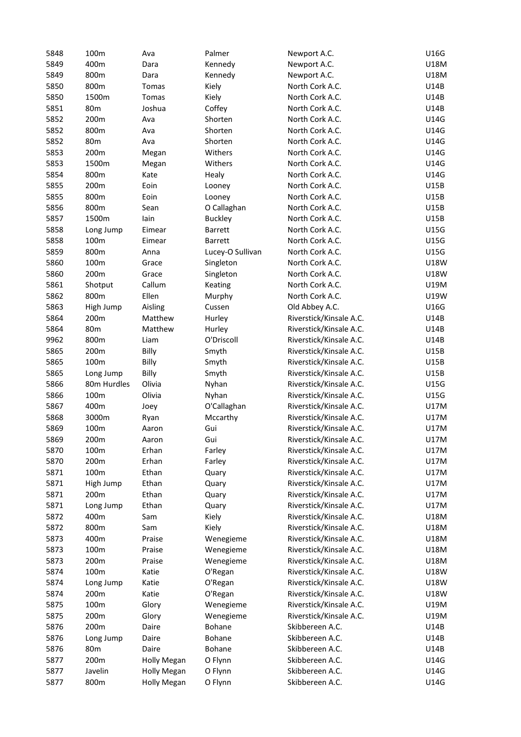| 5848 | 100m            | Ava                | Palmer           | Newport A.C.            | U16G        |
|------|-----------------|--------------------|------------------|-------------------------|-------------|
| 5849 | 400m            | Dara               | Kennedy          | Newport A.C.            | U18M        |
| 5849 | 800m            | Dara               | Kennedy          | Newport A.C.            | U18M        |
| 5850 | 800m            | Tomas              | Kiely            | North Cork A.C.         | U14B        |
| 5850 | 1500m           | <b>Tomas</b>       | Kiely            | North Cork A.C.         | U14B        |
| 5851 | 80 <sub>m</sub> | Joshua             | Coffey           | North Cork A.C.         | U14B        |
| 5852 | 200m            | Ava                | Shorten          | North Cork A.C.         | U14G        |
| 5852 | 800m            | Ava                | Shorten          | North Cork A.C.         | U14G        |
| 5852 | 80 <sub>m</sub> | Ava                | Shorten          | North Cork A.C.         | U14G        |
| 5853 | 200m            |                    | Withers          | North Cork A.C.         | U14G        |
|      | 1500m           | Megan              |                  |                         |             |
| 5853 |                 | Megan              | Withers          | North Cork A.C.         | U14G        |
| 5854 | 800m            | Kate               | Healy            | North Cork A.C.         | U14G        |
| 5855 | 200m            | Eoin               | Looney           | North Cork A.C.         | U15B        |
| 5855 | 800m            | Eoin               | Looney           | North Cork A.C.         | U15B        |
| 5856 | 800m            | Sean               | O Callaghan      | North Cork A.C.         | U15B        |
| 5857 | 1500m           | lain               | <b>Buckley</b>   | North Cork A.C.         | U15B        |
| 5858 | Long Jump       | Eimear             | Barrett          | North Cork A.C.         | U15G        |
| 5858 | 100m            | Eimear             | <b>Barrett</b>   | North Cork A.C.         | U15G        |
| 5859 | 800m            | Anna               | Lucey-O Sullivan | North Cork A.C.         | U15G        |
| 5860 | 100m            | Grace              | Singleton        | North Cork A.C.         | <b>U18W</b> |
| 5860 | 200m            | Grace              | Singleton        | North Cork A.C.         | <b>U18W</b> |
| 5861 | Shotput         | Callum             | Keating          | North Cork A.C.         | U19M        |
| 5862 | 800m            | Ellen              | Murphy           | North Cork A.C.         | U19W        |
| 5863 | High Jump       | Aisling            | Cussen           | Old Abbey A.C.          | U16G        |
| 5864 | 200m            | Matthew            | Hurley           | Riverstick/Kinsale A.C. | U14B        |
| 5864 | 80 <sub>m</sub> | Matthew            | Hurley           | Riverstick/Kinsale A.C. | U14B        |
| 9962 | 800m            | Liam               | O'Driscoll       | Riverstick/Kinsale A.C. | U14B        |
| 5865 | 200m            | Billy              | Smyth            | Riverstick/Kinsale A.C. | U15B        |
| 5865 | 100m            | Billy              | Smyth            | Riverstick/Kinsale A.C. | U15B        |
| 5865 | Long Jump       | Billy              | Smyth            | Riverstick/Kinsale A.C. | U15B        |
| 5866 | 80m Hurdles     | Olivia             | Nyhan            | Riverstick/Kinsale A.C. | U15G        |
| 5866 | 100m            | Olivia             | Nyhan            | Riverstick/Kinsale A.C. | U15G        |
| 5867 | 400m            | Joey               | O'Callaghan      | Riverstick/Kinsale A.C. | U17M        |
| 5868 |                 |                    | Mccarthy         | Riverstick/Kinsale A.C. | U17M        |
|      | 3000m           | Ryan               |                  | Riverstick/Kinsale A.C. |             |
| 5869 | 100m            | Aaron              | Gui              |                         | U17M        |
| 5869 | 200m            | Aaron              | Gui              | Riverstick/Kinsale A.C. | U17M        |
| 5870 | 100m            | Erhan              | Farley           | Riverstick/Kinsale A.C. | U17M        |
| 5870 | 200m            | Erhan              | Farley           | Riverstick/Kinsale A.C. | U17M        |
| 5871 | 100m            | Ethan              | Quary            | Riverstick/Kinsale A.C. | U17M        |
| 5871 | High Jump       | Ethan              | Quary            | Riverstick/Kinsale A.C. | U17M        |
| 5871 | 200m            | Ethan              | Quary            | Riverstick/Kinsale A.C. | U17M        |
| 5871 | Long Jump       | Ethan              | Quary            | Riverstick/Kinsale A.C. | U17M        |
| 5872 | 400m            | Sam                | Kiely            | Riverstick/Kinsale A.C. | U18M        |
| 5872 | 800m            | Sam                | Kiely            | Riverstick/Kinsale A.C. | U18M        |
| 5873 | 400m            | Praise             | Wenegieme        | Riverstick/Kinsale A.C. | U18M        |
| 5873 | 100m            | Praise             | Wenegieme        | Riverstick/Kinsale A.C. | U18M        |
| 5873 | 200m            | Praise             | Wenegieme        | Riverstick/Kinsale A.C. | U18M        |
| 5874 | 100m            | Katie              | O'Regan          | Riverstick/Kinsale A.C. | U18W        |
| 5874 | Long Jump       | Katie              | O'Regan          | Riverstick/Kinsale A.C. | U18W        |
| 5874 | 200m            | Katie              | O'Regan          | Riverstick/Kinsale A.C. | U18W        |
| 5875 | 100m            | Glory              | Wenegieme        | Riverstick/Kinsale A.C. | U19M        |
| 5875 | 200m            | Glory              | Wenegieme        | Riverstick/Kinsale A.C. | U19M        |
| 5876 | 200m            | Daire              | Bohane           | Skibbereen A.C.         | U14B        |
| 5876 | Long Jump       | Daire              | Bohane           | Skibbereen A.C.         | U14B        |
| 5876 | 80 <sub>m</sub> | Daire              | Bohane           | Skibbereen A.C.         | U14B        |
| 5877 | 200m            | <b>Holly Megan</b> | O Flynn          | Skibbereen A.C.         | U14G        |
| 5877 | Javelin         | <b>Holly Megan</b> | O Flynn          | Skibbereen A.C.         | U14G        |
| 5877 | 800m            | <b>Holly Megan</b> | O Flynn          | Skibbereen A.C.         | U14G        |
|      |                 |                    |                  |                         |             |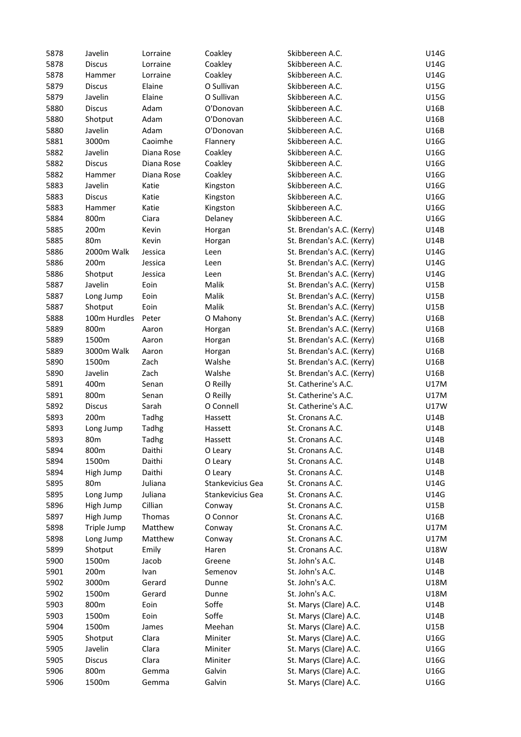| 5878         | Javelin         | Lorraine       | Coakley               | Skibbereen A.C.                              | U14G                |
|--------------|-----------------|----------------|-----------------------|----------------------------------------------|---------------------|
| 5878         | <b>Discus</b>   | Lorraine       | Coakley               | Skibbereen A.C.                              | U14G                |
| 5878         | Hammer          | Lorraine       | Coakley               | Skibbereen A.C.                              | U14G                |
| 5879         | <b>Discus</b>   | Elaine         | O Sullivan            | Skibbereen A.C.                              | U15G                |
| 5879         | Javelin         | Elaine         | O Sullivan            | Skibbereen A.C.                              | U15G                |
| 5880         | <b>Discus</b>   | Adam           | O'Donovan             | Skibbereen A.C.                              | U16B                |
| 5880         | Shotput         | Adam           | O'Donovan             | Skibbereen A.C.                              | U16B                |
| 5880         | Javelin         | Adam           | O'Donovan             | Skibbereen A.C.                              | U16B                |
| 5881         | 3000m           | Caoimhe        | Flannery              | Skibbereen A.C.                              | U16G                |
| 5882         | Javelin         | Diana Rose     | Coakley               | Skibbereen A.C.                              | U16G                |
| 5882         | <b>Discus</b>   | Diana Rose     | Coakley               | Skibbereen A.C.                              | U16G                |
| 5882         | Hammer          | Diana Rose     | Coakley               | Skibbereen A.C.                              | U16G                |
| 5883         | Javelin         | Katie          | Kingston              | Skibbereen A.C.                              | U16G                |
| 5883         | <b>Discus</b>   | Katie          | Kingston              | Skibbereen A.C.                              | U16G                |
| 5883         | Hammer          | Katie          | Kingston              | Skibbereen A.C.                              | U16G                |
| 5884         | 800m            | Ciara          | Delaney               | Skibbereen A.C.                              | U16G                |
| 5885         | 200m            | Kevin          | Horgan                | St. Brendan's A.C. (Kerry)                   | U14B                |
| 5885         | 80 <sub>m</sub> | Kevin          | Horgan                | St. Brendan's A.C. (Kerry)                   | U14B                |
| 5886         | 2000m Walk      | Jessica        | Leen                  | St. Brendan's A.C. (Kerry)                   | U14G                |
| 5886         | 200m            | Jessica        | Leen                  | St. Brendan's A.C. (Kerry)                   | U14G                |
| 5886         | Shotput         | Jessica        | Leen                  | St. Brendan's A.C. (Kerry)                   | U14G                |
| 5887         | Javelin         | Eoin           | Malik                 | St. Brendan's A.C. (Kerry)                   | U15B                |
| 5887         | Long Jump       | Eoin           | Malik                 | St. Brendan's A.C. (Kerry)                   | U15B                |
| 5887         | Shotput         | Eoin           | Malik                 | St. Brendan's A.C. (Kerry)                   | U15B                |
| 5888         | 100m Hurdles    | Peter          | O Mahony              | St. Brendan's A.C. (Kerry)                   | U16B                |
| 5889         | 800m            | Aaron          | Horgan                | St. Brendan's A.C. (Kerry)                   | U16B                |
| 5889         | 1500m           | Aaron          | Horgan                | St. Brendan's A.C. (Kerry)                   | U16B                |
| 5889         | 3000m Walk      | Aaron          | Horgan                | St. Brendan's A.C. (Kerry)                   | U16B                |
| 5890         | 1500m           | Zach           | Walshe                | St. Brendan's A.C. (Kerry)                   | U16B                |
| 5890         | Javelin         | Zach           | Walshe                | St. Brendan's A.C. (Kerry)                   | U16B                |
| 5891         | 400m            | Senan          | O Reilly              | St. Catherine's A.C.                         | U17M                |
|              |                 |                |                       |                                              |                     |
| 5891<br>5892 | 800m            | Senan<br>Sarah | O Reilly<br>O Connell | St. Catherine's A.C.<br>St. Catherine's A.C. | <b>U17M</b><br>U17W |
|              | <b>Discus</b>   |                |                       |                                              |                     |
| 5893         | 200m            | Tadhg          | Hassett               | St. Cronans A.C.                             | U14B                |
| 5893         | Long Jump       | Tadhg          | Hassett               | St. Cronans A.C.                             | U14B                |
| 5893         | 80m             | Tadhg          | Hassett               | St. Cronans A.C.                             | U14B                |
| 5894         | 800m            | Daithi         | O Leary               | St. Cronans A.C.                             | U14B                |
| 5894         | 1500m           | Daithi         | O Leary               | St. Cronans A.C.                             | U14B                |
| 5894         | High Jump       | Daithi         | O Leary               | St. Cronans A.C.                             | U14B                |
| 5895         | 80 <sub>m</sub> | Juliana        | Stankevicius Gea      | St. Cronans A.C.                             | U14G                |
| 5895         | Long Jump       | Juliana        | Stankevicius Gea      | St. Cronans A.C.                             | U14G                |
| 5896         | High Jump       | Cillian        | Conway                | St. Cronans A.C.                             | U15B                |
| 5897         | High Jump       | Thomas         | O Connor              | St. Cronans A.C.                             | U16B                |
| 5898         | Triple Jump     | Matthew        | Conway                | St. Cronans A.C.                             | U17M                |
| 5898         | Long Jump       | Matthew        | Conway                | St. Cronans A.C.                             | U17M                |
| 5899         | Shotput         | Emily          | Haren                 | St. Cronans A.C.                             | U18W                |
| 5900         | 1500m           | Jacob          | Greene                | St. John's A.C.                              | U14B                |
| 5901         | 200m            | Ivan           | Semenov               | St. John's A.C.                              | U14B                |
| 5902         | 3000m           | Gerard         | Dunne                 | St. John's A.C.                              | <b>U18M</b>         |
| 5902         | 1500m           | Gerard         | Dunne                 | St. John's A.C.                              | <b>U18M</b>         |
| 5903         | 800m            | Eoin           | Soffe                 | St. Marys (Clare) A.C.                       | U14B                |
| 5903         | 1500m           | Eoin           | Soffe                 | St. Marys (Clare) A.C.                       | U14B                |
| 5904         | 1500m           | James          | Meehan                | St. Marys (Clare) A.C.                       | U15B                |
| 5905         | Shotput         | Clara          | Miniter               | St. Marys (Clare) A.C.                       | U16G                |
| 5905         | Javelin         | Clara          | Miniter               | St. Marys (Clare) A.C.                       | U16G                |
| 5905         | <b>Discus</b>   | Clara          | Miniter               | St. Marys (Clare) A.C.                       | U16G                |
| 5906         | 800m            | Gemma          | Galvin                | St. Marys (Clare) A.C.                       | U16G                |
| 5906         | 1500m           | Gemma          | Galvin                | St. Marys (Clare) A.C.                       | U16G                |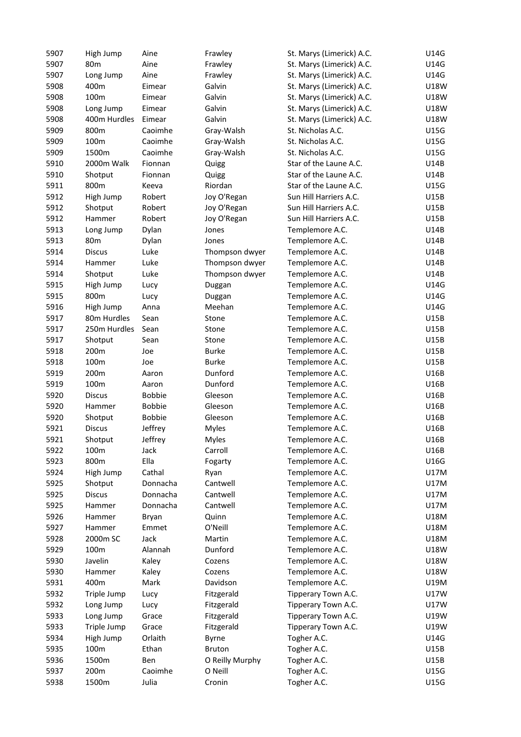| 5907 | High Jump         | Aine          | Frawley         | St. Marys (Limerick) A.C. | U14G        |
|------|-------------------|---------------|-----------------|---------------------------|-------------|
| 5907 | 80 <sub>m</sub>   | Aine          | Frawley         | St. Marys (Limerick) A.C. | U14G        |
| 5907 | Long Jump         | Aine          | Frawley         | St. Marys (Limerick) A.C. | U14G        |
| 5908 | 400m              | Eimear        | Galvin          | St. Marys (Limerick) A.C. | U18W        |
| 5908 | 100m              | Eimear        | Galvin          | St. Marys (Limerick) A.C. | <b>U18W</b> |
| 5908 | Long Jump         | Eimear        | Galvin          | St. Marys (Limerick) A.C. | U18W        |
| 5908 | 400m Hurdles      | Eimear        | Galvin          | St. Marys (Limerick) A.C. | <b>U18W</b> |
| 5909 | 800m              | Caoimhe       | Gray-Walsh      | St. Nicholas A.C.         | U15G        |
| 5909 | 100m              | Caoimhe       | Gray-Walsh      | St. Nicholas A.C.         | U15G        |
| 5909 | 1500m             | Caoimhe       | Gray-Walsh      | St. Nicholas A.C.         | U15G        |
| 5910 | 2000m Walk        | Fionnan       | Quigg           | Star of the Laune A.C.    | U14B        |
| 5910 | Shotput           | Fionnan       | Quigg           | Star of the Laune A.C.    | U14B        |
| 5911 | 800m              | Keeva         | Riordan         | Star of the Laune A.C.    | U15G        |
| 5912 | High Jump         | Robert        | Joy O'Regan     | Sun Hill Harriers A.C.    | U15B        |
| 5912 | Shotput           | Robert        | Joy O'Regan     | Sun Hill Harriers A.C.    | U15B        |
| 5912 | Hammer            | Robert        | Joy O'Regan     | Sun Hill Harriers A.C.    | U15B        |
| 5913 | Long Jump         | Dylan         | Jones           | Templemore A.C.           | U14B        |
| 5913 | 80m               | Dylan         | Jones           | Templemore A.C.           | U14B        |
| 5914 | <b>Discus</b>     | Luke          | Thompson dwyer  | Templemore A.C.           | U14B        |
| 5914 | Hammer            | Luke          | Thompson dwyer  | Templemore A.C.           | U14B        |
| 5914 | Shotput           | Luke          | Thompson dwyer  | Templemore A.C.           | U14B        |
| 5915 |                   |               |                 | Templemore A.C.           | U14G        |
| 5915 | High Jump<br>800m | Lucy          | Duggan          | Templemore A.C.           | U14G        |
|      |                   | Lucy          | Duggan          |                           |             |
| 5916 | High Jump         | Anna          | Meehan          | Templemore A.C.           | U14G        |
| 5917 | 80m Hurdles       | Sean          | Stone           | Templemore A.C.           | U15B        |
| 5917 | 250m Hurdles      | Sean          | Stone           | Templemore A.C.           | U15B        |
| 5917 | Shotput           | Sean          | Stone           | Templemore A.C.           | U15B        |
| 5918 | 200m              | Joe           | <b>Burke</b>    | Templemore A.C.           | U15B        |
| 5918 | 100m              | Joe           | <b>Burke</b>    | Templemore A.C.           | U15B        |
| 5919 | 200m              | Aaron         | Dunford         | Templemore A.C.           | U16B        |
| 5919 | 100m              | Aaron         | Dunford         | Templemore A.C.           | U16B        |
| 5920 | <b>Discus</b>     | <b>Bobbie</b> | Gleeson         | Templemore A.C.           | U16B        |
| 5920 | Hammer            | <b>Bobbie</b> | Gleeson         | Templemore A.C.           | U16B        |
| 5920 | Shotput           | <b>Bobbie</b> | Gleeson         | Templemore A.C.           | U16B        |
| 5921 | <b>Discus</b>     | Jeffrey       | <b>Myles</b>    | Templemore A.C.           | U16B        |
| 5921 | Shotput           | Jeffrey       | <b>Myles</b>    | Templemore A.C.           | U16B        |
| 5922 | 100m              | Jack          | Carroll         | Templemore A.C.           | U16B        |
| 5923 | 800m              | Ella          | Fogarty         | Templemore A.C.           | U16G        |
| 5924 | High Jump         | Cathal        | Ryan            | Templemore A.C.           | U17M        |
| 5925 | Shotput           | Donnacha      | Cantwell        | Templemore A.C.           | U17M        |
| 5925 | <b>Discus</b>     | Donnacha      | Cantwell        | Templemore A.C.           | U17M        |
| 5925 | Hammer            | Donnacha      | Cantwell        | Templemore A.C.           | U17M        |
| 5926 | Hammer            | Bryan         | Quinn           | Templemore A.C.           | U18M        |
| 5927 | Hammer            | Emmet         | O'Neill         | Templemore A.C.           | U18M        |
| 5928 | 2000m SC          | Jack          | Martin          | Templemore A.C.           | U18M        |
| 5929 | 100m              | Alannah       | Dunford         | Templemore A.C.           | <b>U18W</b> |
| 5930 | Javelin           | Kaley         | Cozens          | Templemore A.C.           | <b>U18W</b> |
| 5930 | Hammer            | Kaley         | Cozens          | Templemore A.C.           | <b>U18W</b> |
| 5931 | 400m              | Mark          | Davidson        | Templemore A.C.           | U19M        |
| 5932 | Triple Jump       | Lucy          | Fitzgerald      | Tipperary Town A.C.       | <b>U17W</b> |
| 5932 | Long Jump         | Lucy          | Fitzgerald      | Tipperary Town A.C.       | U17W        |
| 5933 | Long Jump         | Grace         | Fitzgerald      | Tipperary Town A.C.       | U19W        |
| 5933 | Triple Jump       | Grace         | Fitzgerald      | Tipperary Town A.C.       | U19W        |
| 5934 | High Jump         | Orlaith       | Byrne           | Togher A.C.               | U14G        |
| 5935 | 100m              | Ethan         | <b>Bruton</b>   | Togher A.C.               | U15B        |
| 5936 | 1500m             | Ben           | O Reilly Murphy | Togher A.C.               | U15B        |
| 5937 | 200m              | Caoimhe       | O Neill         | Togher A.C.               | U15G        |
| 5938 | 1500m             | Julia         | Cronin          | Togher A.C.               | U15G        |
|      |                   |               |                 |                           |             |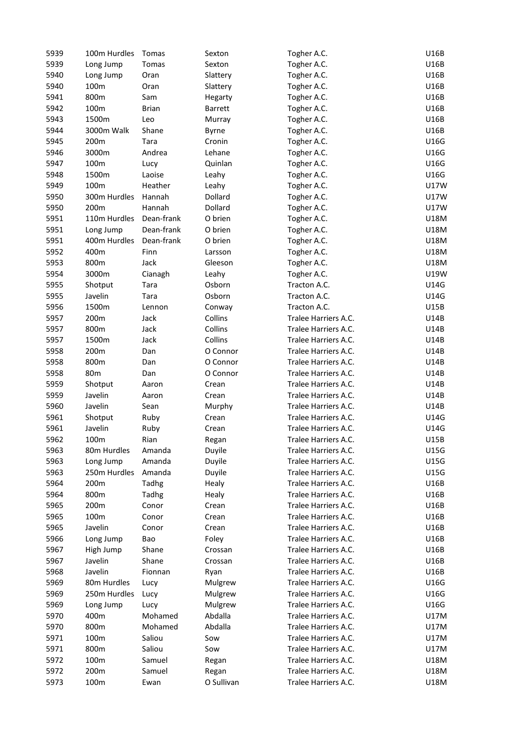| 5939 | 100m Hurdles           | Tomas        | Sexton           | Togher A.C.          | U16B         |
|------|------------------------|--------------|------------------|----------------------|--------------|
| 5939 | Long Jump              | Tomas        | Sexton           | Togher A.C.          | U16B         |
| 5940 | Long Jump              | Oran         | Slattery         | Togher A.C.          | U16B         |
| 5940 | 100m                   | Oran         | Slattery         | Togher A.C.          | U16B         |
| 5941 | 800m                   | Sam          | Hegarty          | Togher A.C.          | U16B         |
| 5942 | 100m                   | <b>Brian</b> | <b>Barrett</b>   | Togher A.C.          | U16B         |
| 5943 | 1500m                  | Leo          | Murray           | Togher A.C.          | U16B         |
| 5944 | 3000m Walk             | Shane        | <b>Byrne</b>     | Togher A.C.          | U16B         |
| 5945 | 200m                   | Tara         | Cronin           | Togher A.C.          | U16G         |
| 5946 | 3000m                  | Andrea       | Lehane           | Togher A.C.          | U16G         |
| 5947 | 100m                   | Lucy         | Quinlan          | Togher A.C.          | U16G         |
| 5948 | 1500m                  | Laoise       | Leahy            | Togher A.C.          | U16G         |
| 5949 | 100m                   | Heather      | Leahy            | Togher A.C.          | U17W         |
| 5950 | 300m Hurdles           | Hannah       | Dollard          | Togher A.C.          | U17W         |
| 5950 | 200m                   | Hannah       | Dollard          | Togher A.C.          | U17W         |
| 5951 | 110m Hurdles           | Dean-frank   | O brien          | Togher A.C.          | U18M         |
| 5951 | Long Jump              | Dean-frank   | O brien          | Togher A.C.          | U18M         |
| 5951 | 400m Hurdles           | Dean-frank   | O brien          | Togher A.C.          | U18M         |
| 5952 | 400m                   | Finn         | Larsson          | Togher A.C.          | U18M         |
| 5953 | 800m                   | Jack         | Gleeson          | Togher A.C.          | U18M         |
| 5954 | 3000m                  | Cianagh      | Leahy            | Togher A.C.          | U19W         |
| 5955 | Shotput                | Tara         | Osborn           | Tracton A.C.         | U14G         |
| 5955 | Javelin                | Tara         | Osborn           | Tracton A.C.         | U14G         |
| 5956 | 1500m                  | Lennon       | Conway           | Tracton A.C.         | U15B         |
| 5957 | 200m                   | Jack         | Collins          | Tralee Harriers A.C. | U14B         |
| 5957 | 800m                   | Jack         | Collins          | Tralee Harriers A.C. | U14B         |
| 5957 | 1500m                  | Jack         | Collins          | Tralee Harriers A.C. | U14B         |
| 5958 | 200m                   | Dan          | O Connor         | Tralee Harriers A.C. | U14B         |
| 5958 | 800m                   | Dan          | O Connor         | Tralee Harriers A.C. | U14B         |
| 5958 | 80 <sub>m</sub>        | Dan          | O Connor         | Tralee Harriers A.C. | U14B         |
| 5959 | Shotput                | Aaron        | Crean            | Tralee Harriers A.C. | U14B         |
| 5959 | Javelin                | Aaron        | Crean            | Tralee Harriers A.C. | U14B         |
| 5960 | Javelin                | Sean         | Murphy           | Tralee Harriers A.C. | U14B         |
| 5961 | Shotput                | Ruby         | Crean            | Tralee Harriers A.C. | U14G         |
| 5961 | Javelin                | Ruby         | Crean            | Tralee Harriers A.C. | U14G         |
| 5962 | 100m                   | Rian         | Regan            | Tralee Harriers A.C. | U15B         |
| 5963 | 80m Hurdles            | Amanda       | Duyile           | Tralee Harriers A.C. | U15G         |
| 5963 | Long Jump              | Amanda       | Duyile           | Tralee Harriers A.C. | U15G         |
| 5963 | 250m Hurdles           | Amanda       | Duyile           | Tralee Harriers A.C. | U15G         |
| 5964 | 200m                   | Tadhg        |                  | Tralee Harriers A.C. | U16B         |
| 5964 | 800m                   | Tadhg        | Healy<br>Healy   | Tralee Harriers A.C. | U16B         |
| 5965 | 200m                   | Conor        | Crean            | Tralee Harriers A.C. | U16B         |
| 5965 | 100m                   | Conor        | Crean            | Tralee Harriers A.C. | U16B         |
| 5965 | Javelin                | Conor        | Crean            | Tralee Harriers A.C. | U16B         |
| 5966 |                        |              |                  | Tralee Harriers A.C. | U16B         |
| 5967 | Long Jump<br>High Jump | Bao<br>Shane | Foley<br>Crossan | Tralee Harriers A.C. | U16B         |
| 5967 | Javelin                | Shane        |                  | Tralee Harriers A.C. | U16B         |
|      | Javelin                | Fionnan      | Crossan          | Tralee Harriers A.C. |              |
| 5968 | 80m Hurdles            |              | Ryan             | Tralee Harriers A.C. | U16B<br>U16G |
| 5969 |                        | Lucy         | Mulgrew          |                      |              |
| 5969 | 250m Hurdles           | Lucy         | Mulgrew          | Tralee Harriers A.C. | U16G         |
| 5969 | Long Jump              | Lucy         | Mulgrew          | Tralee Harriers A.C. | U16G         |
| 5970 | 400m                   | Mohamed      | Abdalla          | Tralee Harriers A.C. | U17M         |
| 5970 | 800m                   | Mohamed      | Abdalla          | Tralee Harriers A.C. | U17M         |
| 5971 | 100m                   | Saliou       | Sow              | Tralee Harriers A.C. | U17M         |
| 5971 | 800m                   | Saliou       | Sow              | Tralee Harriers A.C. | U17M         |
| 5972 | 100m                   | Samuel       | Regan            | Tralee Harriers A.C. | U18M         |
| 5972 | 200m                   | Samuel       | Regan            | Tralee Harriers A.C. | U18M         |
| 5973 | 100m                   | Ewan         | O Sullivan       | Tralee Harriers A.C. | U18M         |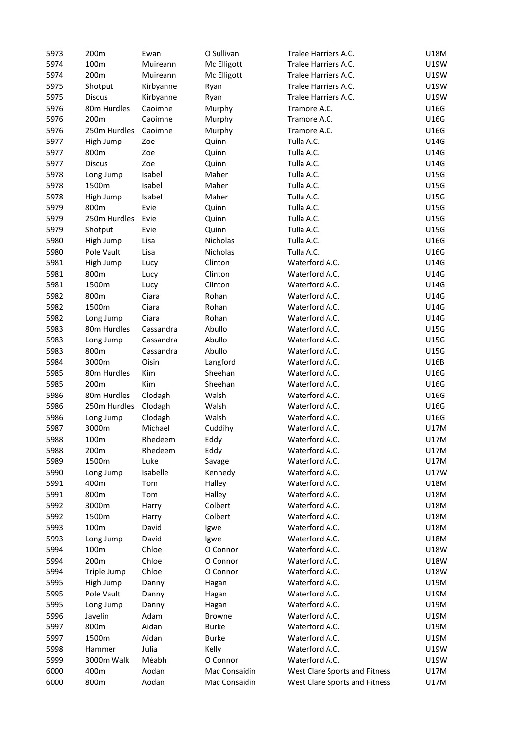| 5973 | 200m          | Ewan          | O Sullivan    | Tralee Harriers A.C.          | U18M        |
|------|---------------|---------------|---------------|-------------------------------|-------------|
| 5974 | 100m          | Muireann      | Mc Elligott   | Tralee Harriers A.C.          | U19W        |
| 5974 | 200m          | Muireann      | Mc Elligott   | Tralee Harriers A.C.          | U19W        |
| 5975 | Shotput       | Kirbyanne     | Ryan          | Tralee Harriers A.C.          | U19W        |
| 5975 | <b>Discus</b> | Kirbyanne     | Ryan          | Tralee Harriers A.C.          | U19W        |
| 5976 | 80m Hurdles   | Caoimhe       | Murphy        | Tramore A.C.                  | U16G        |
| 5976 | 200m          | Caoimhe       | Murphy        | Tramore A.C.                  | U16G        |
| 5976 | 250m Hurdles  | Caoimhe       | Murphy        | Tramore A.C.                  | U16G        |
| 5977 | High Jump     | Zoe           | Quinn         | Tulla A.C.                    | U14G        |
| 5977 | 800m          | Zoe           | Quinn         | Tulla A.C.                    | U14G        |
| 5977 | <b>Discus</b> | Zoe           | Quinn         | Tulla A.C.                    | U14G        |
| 5978 | Long Jump     | Isabel        | Maher         | Tulla A.C.                    | U15G        |
| 5978 | 1500m         | Isabel        | Maher         | Tulla A.C.                    | U15G        |
| 5978 | High Jump     | Isabel        | Maher         | Tulla A.C.                    | U15G        |
| 5979 | 800m          | Evie          | Quinn         | Tulla A.C.                    | U15G        |
| 5979 | 250m Hurdles  | Evie          | Quinn         | Tulla A.C.                    | U15G        |
| 5979 | Shotput       | Evie          | Quinn         | Tulla A.C.                    | U15G        |
| 5980 | High Jump     | Lisa          | Nicholas      | Tulla A.C.                    | U16G        |
| 5980 | Pole Vault    | Lisa          | Nicholas      | Tulla A.C.                    | U16G        |
| 5981 | High Jump     | Lucy          | Clinton       | Waterford A.C.                | U14G        |
| 5981 | 800m          | Lucy          | Clinton       | Waterford A.C.                | U14G        |
| 5981 | 1500m         |               | Clinton       | Waterford A.C.                | U14G        |
| 5982 | 800m          | Lucy<br>Ciara | Rohan         | Waterford A.C.                | U14G        |
|      |               |               |               | Waterford A.C.                |             |
| 5982 | 1500m         | Ciara         | Rohan         |                               | U14G        |
| 5982 | Long Jump     | Ciara         | Rohan         | Waterford A.C.                | U14G        |
| 5983 | 80m Hurdles   | Cassandra     | Abullo        | Waterford A.C.                | U15G        |
| 5983 | Long Jump     | Cassandra     | Abullo        | Waterford A.C.                | U15G        |
| 5983 | 800m          | Cassandra     | Abullo        | Waterford A.C.                | U15G        |
| 5984 | 3000m         | Oisin         | Langford      | Waterford A.C.                | U16B        |
| 5985 | 80m Hurdles   | Kim           | Sheehan       | Waterford A.C.                | U16G        |
| 5985 | 200m          | Kim           | Sheehan       | Waterford A.C.                | U16G        |
| 5986 | 80m Hurdles   | Clodagh       | Walsh         | Waterford A.C.                | U16G        |
| 5986 | 250m Hurdles  | Clodagh       | Walsh         | Waterford A.C.                | U16G        |
| 5986 | Long Jump     | Clodagh       | Walsh         | Waterford A.C.                | U16G        |
| 5987 | 3000m         | Michael       | Cuddihy       | Waterford A.C.                | <b>U17M</b> |
| 5988 | 100m          | Rhedeem       | Eddy          | Waterford A.C.                | <b>U17M</b> |
| 5988 | 200m          | Rhedeem       | Eddy          | Waterford A.C.                | U17M        |
| 5989 | 1500m         | Luke          | Savage        | Waterford A.C.                | U17M        |
| 5990 | Long Jump     | Isabelle      | Kennedy       | Waterford A.C.                | <b>U17W</b> |
| 5991 | 400m          | Tom           | Halley        | Waterford A.C.                | U18M        |
| 5991 | 800m          | Tom           | Halley        | Waterford A.C.                | U18M        |
| 5992 | 3000m         | Harry         | Colbert       | Waterford A.C.                | <b>U18M</b> |
| 5992 | 1500m         | Harry         | Colbert       | Waterford A.C.                | <b>U18M</b> |
| 5993 | 100m          | David         | Igwe          | Waterford A.C.                | U18M        |
| 5993 | Long Jump     | David         | Igwe          | Waterford A.C.                | <b>U18M</b> |
| 5994 | 100m          | Chloe         | O Connor      | Waterford A.C.                | <b>U18W</b> |
| 5994 | 200m          | Chloe         | O Connor      | Waterford A.C.                | <b>U18W</b> |
| 5994 | Triple Jump   | Chloe         | O Connor      | Waterford A.C.                | U18W        |
| 5995 | High Jump     | Danny         | Hagan         | Waterford A.C.                | U19M        |
| 5995 | Pole Vault    | Danny         | Hagan         | Waterford A.C.                | U19M        |
| 5995 | Long Jump     | Danny         | Hagan         | Waterford A.C.                | U19M        |
| 5996 | Javelin       | Adam          | <b>Browne</b> | Waterford A.C.                | U19M        |
| 5997 | 800m          | Aidan         | <b>Burke</b>  | Waterford A.C.                | U19M        |
| 5997 | 1500m         | Aidan         | <b>Burke</b>  | Waterford A.C.                | U19M        |
| 5998 | Hammer        | Julia         | Kelly         | Waterford A.C.                | U19W        |
| 5999 | 3000m Walk    | Méabh         | O Connor      | Waterford A.C.                | U19W        |
| 6000 | 400m          | Aodan         | Mac Consaidin | West Clare Sports and Fitness | <b>U17M</b> |
| 6000 | 800m          | Aodan         | Mac Consaidin | West Clare Sports and Fitness | <b>U17M</b> |
|      |               |               |               |                               |             |